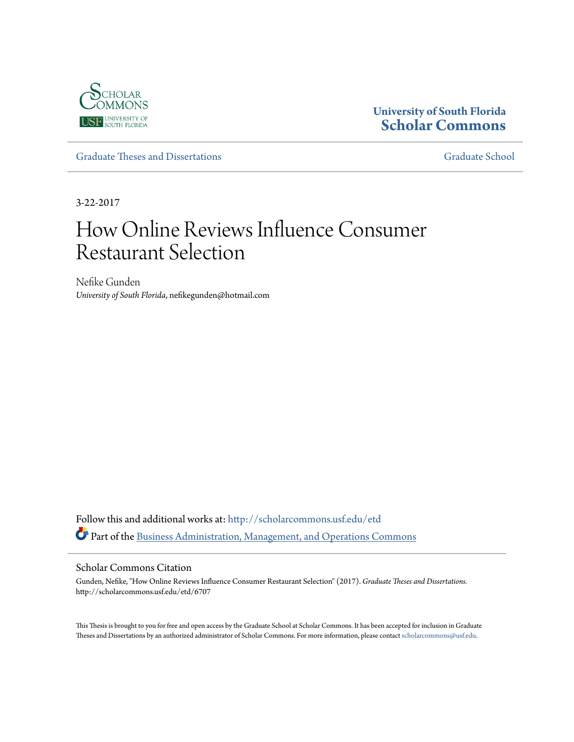

# **University of South Florida [Scholar Commons](http://scholarcommons.usf.edu?utm_source=scholarcommons.usf.edu%2Fetd%2F6707&utm_medium=PDF&utm_campaign=PDFCoverPages)**

[Graduate Theses and Dissertations](http://scholarcommons.usf.edu/etd?utm_source=scholarcommons.usf.edu%2Fetd%2F6707&utm_medium=PDF&utm_campaign=PDFCoverPages) [Graduate School](http://scholarcommons.usf.edu/grad?utm_source=scholarcommons.usf.edu%2Fetd%2F6707&utm_medium=PDF&utm_campaign=PDFCoverPages)

3-22-2017

# How Online Reviews Influence Consumer Restaurant Selection

Nefike Gunden *University of South Florida*, nefikegunden@hotmail.com

Follow this and additional works at: [http://scholarcommons.usf.edu/etd](http://scholarcommons.usf.edu/etd?utm_source=scholarcommons.usf.edu%2Fetd%2F6707&utm_medium=PDF&utm_campaign=PDFCoverPages) Part of the [Business Administration, Management, and Operations Commons](http://network.bepress.com/hgg/discipline/623?utm_source=scholarcommons.usf.edu%2Fetd%2F6707&utm_medium=PDF&utm_campaign=PDFCoverPages)

#### Scholar Commons Citation

Gunden, Nefike, "How Online Reviews Influence Consumer Restaurant Selection" (2017). *Graduate Theses and Dissertations.* http://scholarcommons.usf.edu/etd/6707

This Thesis is brought to you for free and open access by the Graduate School at Scholar Commons. It has been accepted for inclusion in Graduate Theses and Dissertations by an authorized administrator of Scholar Commons. For more information, please contact [scholarcommons@usf.edu.](mailto:scholarcommons@usf.edu)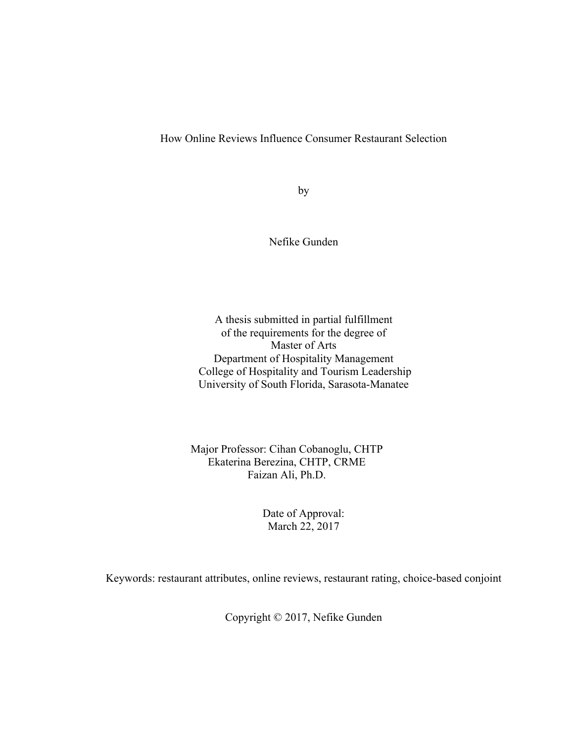How Online Reviews Influence Consumer Restaurant Selection

by

Nefike Gunden

A thesis submitted in partial fulfillment of the requirements for the degree of Master of Arts Department of Hospitality Management College of Hospitality and Tourism Leadership University of South Florida, Sarasota-Manatee

Major Professor: Cihan Cobanoglu, CHTP Ekaterina Berezina, CHTP, CRME Faizan Ali, Ph.D.

> Date of Approval: March 22, 2017

Keywords: restaurant attributes, online reviews, restaurant rating, choice-based conjoint

Copyright © 2017, Nefike Gunden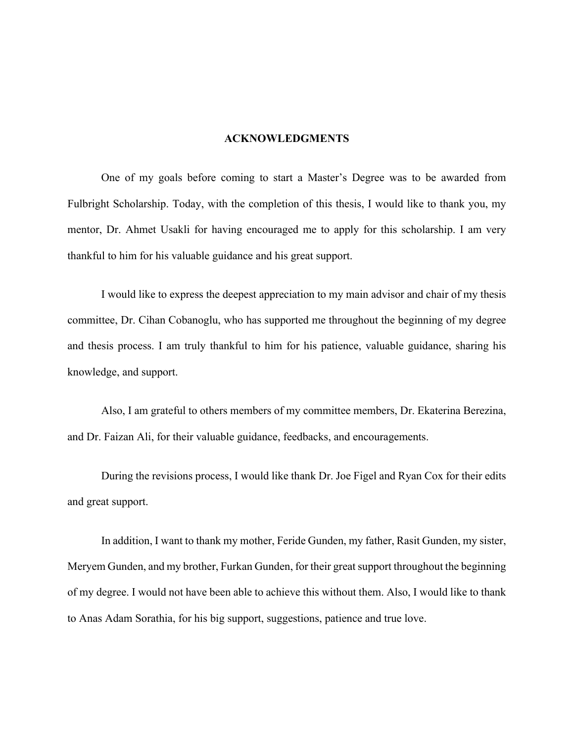#### **ACKNOWLEDGMENTS**

One of my goals before coming to start a Master's Degree was to be awarded from Fulbright Scholarship. Today, with the completion of this thesis, I would like to thank you, my mentor, Dr. Ahmet Usakli for having encouraged me to apply for this scholarship. I am very thankful to him for his valuable guidance and his great support.

I would like to express the deepest appreciation to my main advisor and chair of my thesis committee, Dr. Cihan Cobanoglu, who has supported me throughout the beginning of my degree and thesis process. I am truly thankful to him for his patience, valuable guidance, sharing his knowledge, and support.

Also, I am grateful to others members of my committee members, Dr. Ekaterina Berezina, and Dr. Faizan Ali, for their valuable guidance, feedbacks, and encouragements.

During the revisions process, I would like thank Dr. Joe Figel and Ryan Cox for their edits and great support.

In addition, I want to thank my mother, Feride Gunden, my father, Rasit Gunden, my sister, Meryem Gunden, and my brother, Furkan Gunden, for their great support throughout the beginning of my degree. I would not have been able to achieve this without them. Also, I would like to thank to Anas Adam Sorathia, for his big support, suggestions, patience and true love.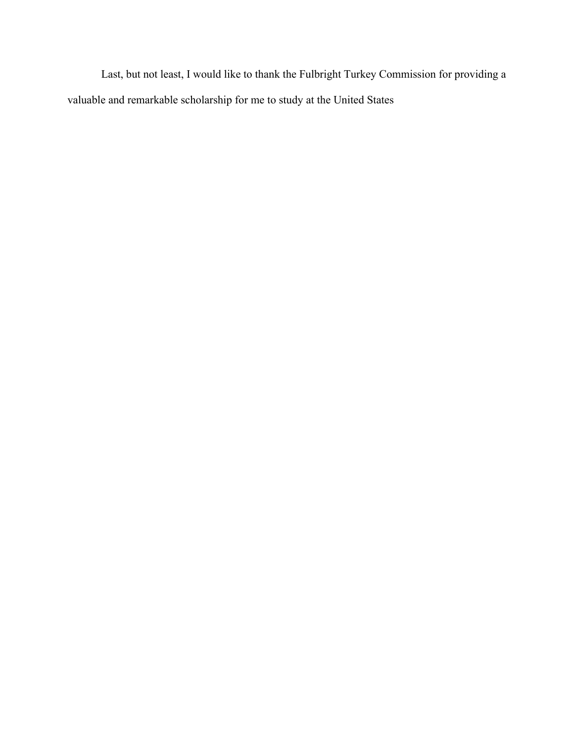Last, but not least, I would like to thank the Fulbright Turkey Commission for providing a valuable and remarkable scholarship for me to study at the United States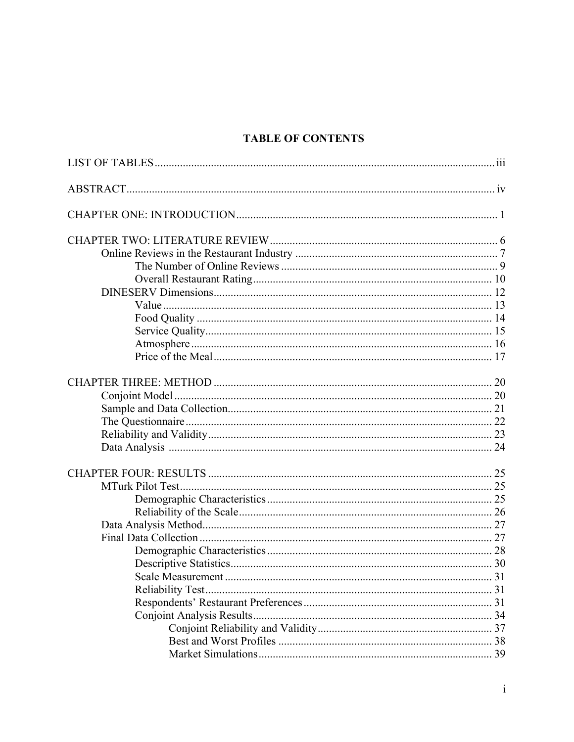# **TABLE OF CONTENTS**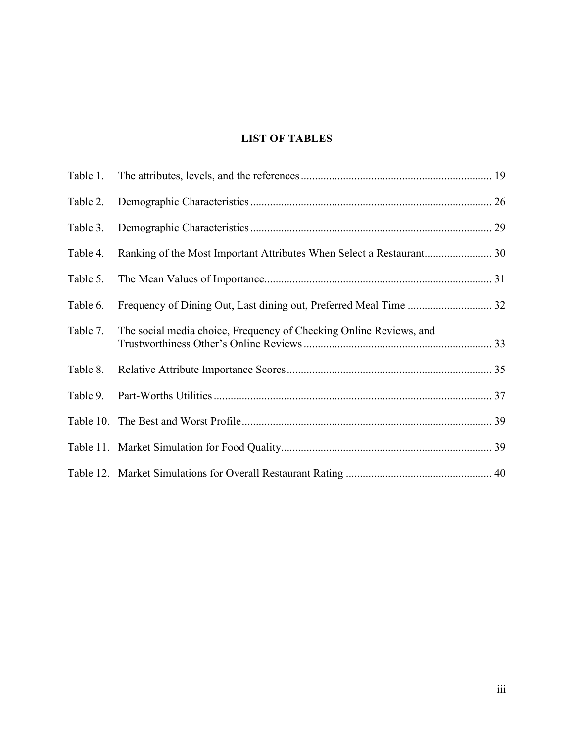# **LIST OF TABLES**

| Table 2. |                                                                    |    |
|----------|--------------------------------------------------------------------|----|
| Table 3. |                                                                    | 29 |
| Table 4. |                                                                    |    |
| Table 5. |                                                                    |    |
| Table 6. | Frequency of Dining Out, Last dining out, Preferred Meal Time  32  |    |
| Table 7. | The social media choice, Frequency of Checking Online Reviews, and |    |
| Table 8. |                                                                    |    |
| Table 9. |                                                                    |    |
|          |                                                                    |    |
|          |                                                                    |    |
|          |                                                                    |    |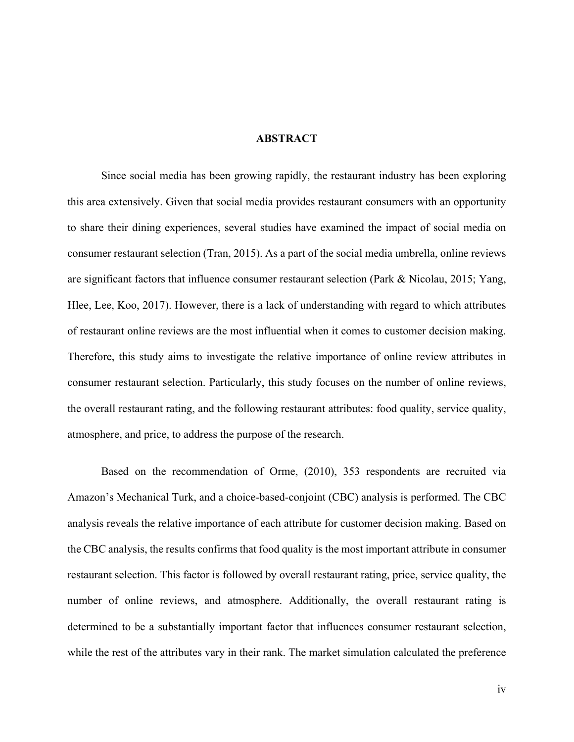#### **ABSTRACT**

Since social media has been growing rapidly, the restaurant industry has been exploring this area extensively. Given that social media provides restaurant consumers with an opportunity to share their dining experiences, several studies have examined the impact of social media on consumer restaurant selection (Tran, 2015). As a part of the social media umbrella, online reviews are significant factors that influence consumer restaurant selection (Park & Nicolau, 2015; Yang, Hlee, Lee, Koo, 2017). However, there is a lack of understanding with regard to which attributes of restaurant online reviews are the most influential when it comes to customer decision making. Therefore, this study aims to investigate the relative importance of online review attributes in consumer restaurant selection. Particularly, this study focuses on the number of online reviews, the overall restaurant rating, and the following restaurant attributes: food quality, service quality, atmosphere, and price, to address the purpose of the research.

Based on the recommendation of Orme, (2010), 353 respondents are recruited via Amazon's Mechanical Turk, and a choice-based-conjoint (CBC) analysis is performed. The CBC analysis reveals the relative importance of each attribute for customer decision making. Based on the CBC analysis, the results confirms that food quality is the most important attribute in consumer restaurant selection. This factor is followed by overall restaurant rating, price, service quality, the number of online reviews, and atmosphere. Additionally, the overall restaurant rating is determined to be a substantially important factor that influences consumer restaurant selection, while the rest of the attributes vary in their rank. The market simulation calculated the preference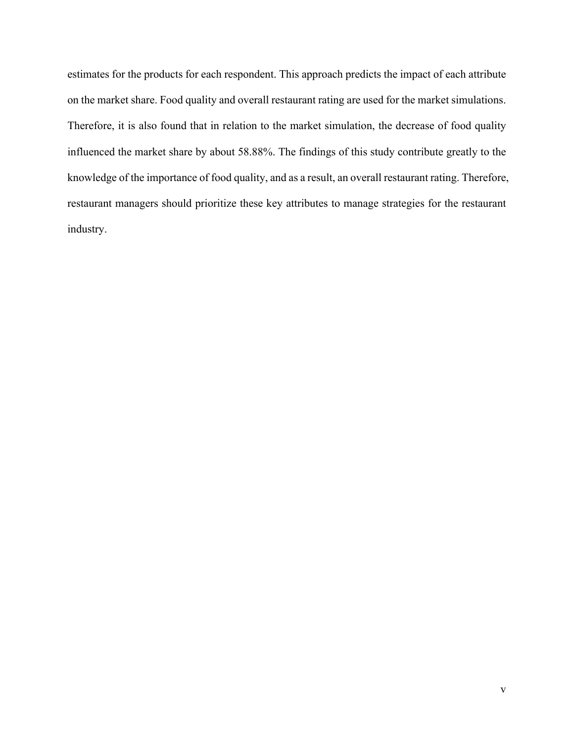estimates for the products for each respondent. This approach predicts the impact of each attribute on the market share. Food quality and overall restaurant rating are used for the market simulations. Therefore, it is also found that in relation to the market simulation, the decrease of food quality influenced the market share by about 58.88%. The findings of this study contribute greatly to the knowledge of the importance of food quality, and as a result, an overall restaurant rating. Therefore, restaurant managers should prioritize these key attributes to manage strategies for the restaurant industry.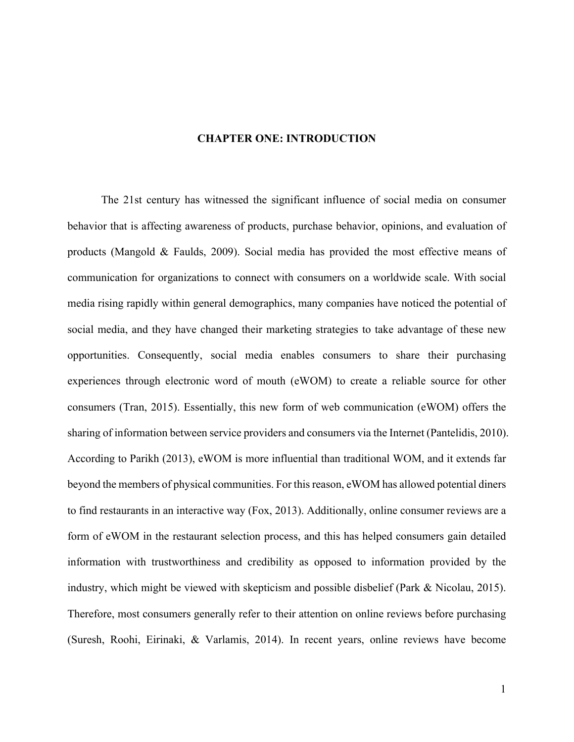#### **CHAPTER ONE: INTRODUCTION**

The 21st century has witnessed the significant influence of social media on consumer behavior that is affecting awareness of products, purchase behavior, opinions, and evaluation of products (Mangold & Faulds, 2009). Social media has provided the most effective means of communication for organizations to connect with consumers on a worldwide scale. With social media rising rapidly within general demographics, many companies have noticed the potential of social media, and they have changed their marketing strategies to take advantage of these new opportunities. Consequently, social media enables consumers to share their purchasing experiences through electronic word of mouth (eWOM) to create a reliable source for other consumers (Tran, 2015). Essentially, this new form of web communication (eWOM) offers the sharing of information between service providers and consumers via the Internet (Pantelidis, 2010). According to Parikh (2013), eWOM is more influential than traditional WOM, and it extends far beyond the members of physical communities. For this reason, eWOM has allowed potential diners to find restaurants in an interactive way (Fox, 2013). Additionally, online consumer reviews are a form of eWOM in the restaurant selection process, and this has helped consumers gain detailed information with trustworthiness and credibility as opposed to information provided by the industry, which might be viewed with skepticism and possible disbelief (Park & Nicolau, 2015). Therefore, most consumers generally refer to their attention on online reviews before purchasing (Suresh, Roohi, Eirinaki, & Varlamis, 2014). In recent years, online reviews have become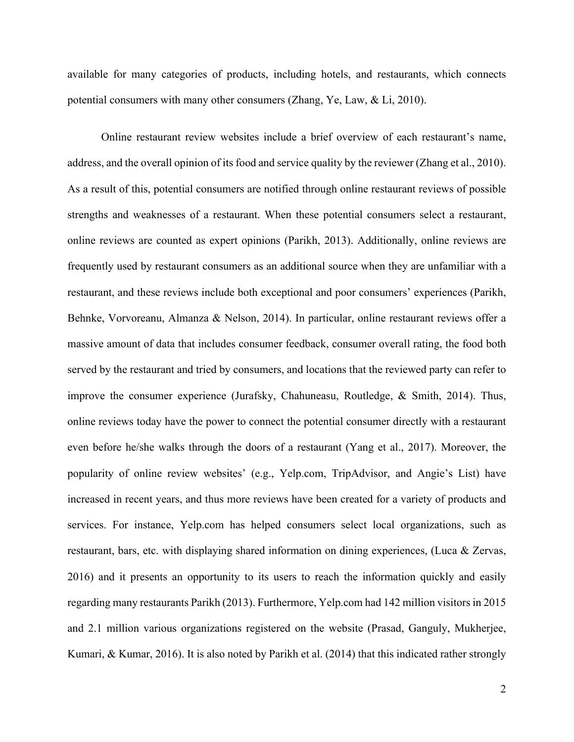available for many categories of products, including hotels, and restaurants, which connects potential consumers with many other consumers (Zhang, Ye, Law, & Li, 2010).

Online restaurant review websites include a brief overview of each restaurant's name, address, and the overall opinion of its food and service quality by the reviewer (Zhang et al., 2010). As a result of this, potential consumers are notified through online restaurant reviews of possible strengths and weaknesses of a restaurant. When these potential consumers select a restaurant, online reviews are counted as expert opinions (Parikh, 2013). Additionally, online reviews are frequently used by restaurant consumers as an additional source when they are unfamiliar with a restaurant, and these reviews include both exceptional and poor consumers' experiences (Parikh, Behnke, Vorvoreanu, Almanza & Nelson, 2014). In particular, online restaurant reviews offer a massive amount of data that includes consumer feedback, consumer overall rating, the food both served by the restaurant and tried by consumers, and locations that the reviewed party can refer to improve the consumer experience (Jurafsky, Chahuneasu, Routledge, & Smith, 2014). Thus, online reviews today have the power to connect the potential consumer directly with a restaurant even before he/she walks through the doors of a restaurant (Yang et al., 2017). Moreover, the popularity of online review websites' (e.g., Yelp.com, TripAdvisor, and Angie's List) have increased in recent years, and thus more reviews have been created for a variety of products and services. For instance, Yelp.com has helped consumers select local organizations, such as restaurant, bars, etc. with displaying shared information on dining experiences, (Luca & Zervas, 2016) and it presents an opportunity to its users to reach the information quickly and easily regarding many restaurants Parikh (2013). Furthermore, Yelp.com had 142 million visitors in 2015 and 2.1 million various organizations registered on the website (Prasad, Ganguly, Mukherjee, Kumari, & Kumar, 2016). It is also noted by Parikh et al. (2014) that this indicated rather strongly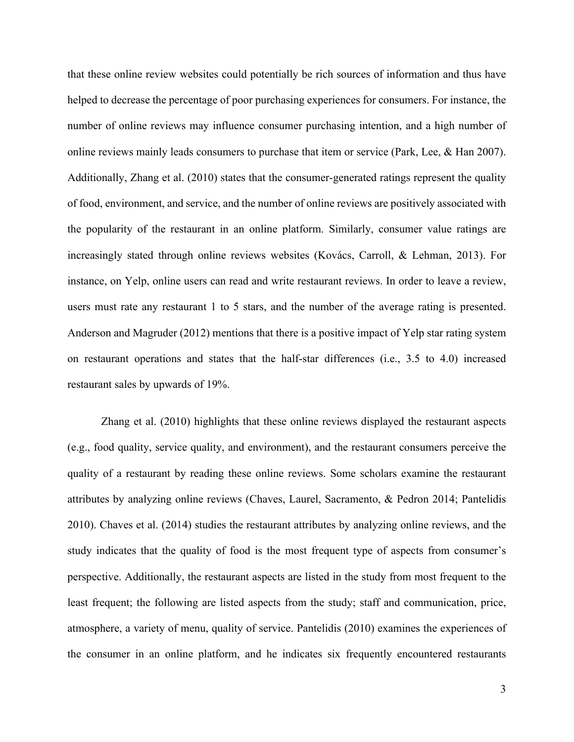that these online review websites could potentially be rich sources of information and thus have helped to decrease the percentage of poor purchasing experiences for consumers. For instance, the number of online reviews may influence consumer purchasing intention, and a high number of online reviews mainly leads consumers to purchase that item or service (Park, Lee, & Han 2007). Additionally, Zhang et al. (2010) states that the consumer-generated ratings represent the quality of food, environment, and service, and the number of online reviews are positively associated with the popularity of the restaurant in an online platform. Similarly, consumer value ratings are increasingly stated through online reviews websites (Kovács, Carroll, & Lehman, 2013). For instance, on Yelp, online users can read and write restaurant reviews. In order to leave a review, users must rate any restaurant 1 to 5 stars, and the number of the average rating is presented. Anderson and Magruder (2012) mentions that there is a positive impact of Yelp star rating system on restaurant operations and states that the half-star differences (i.e., 3.5 to 4.0) increased restaurant sales by upwards of 19%.

Zhang et al. (2010) highlights that these online reviews displayed the restaurant aspects (e.g., food quality, service quality, and environment), and the restaurant consumers perceive the quality of a restaurant by reading these online reviews. Some scholars examine the restaurant attributes by analyzing online reviews (Chaves, Laurel, Sacramento, & Pedron 2014; Pantelidis 2010). Chaves et al. (2014) studies the restaurant attributes by analyzing online reviews, and the study indicates that the quality of food is the most frequent type of aspects from consumer's perspective. Additionally, the restaurant aspects are listed in the study from most frequent to the least frequent; the following are listed aspects from the study; staff and communication, price, atmosphere, a variety of menu, quality of service. Pantelidis (2010) examines the experiences of the consumer in an online platform, and he indicates six frequently encountered restaurants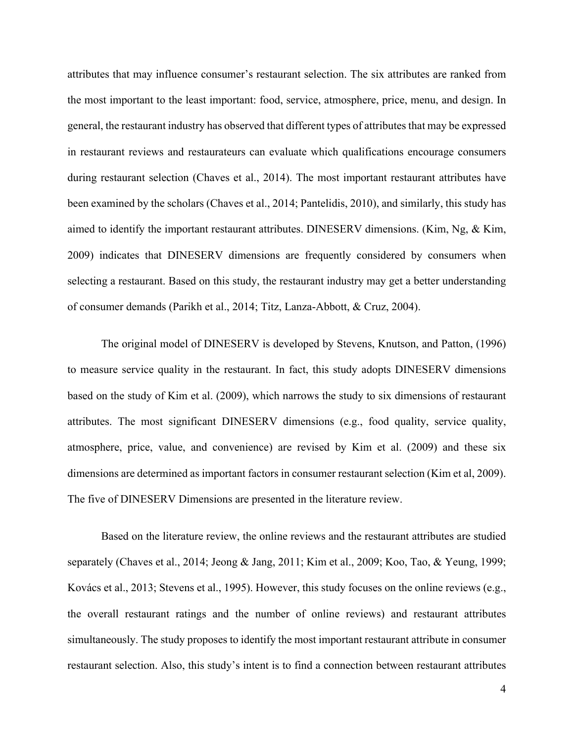attributes that may influence consumer's restaurant selection. The six attributes are ranked from the most important to the least important: food, service, atmosphere, price, menu, and design. In general, the restaurant industry has observed that different types of attributes that may be expressed in restaurant reviews and restaurateurs can evaluate which qualifications encourage consumers during restaurant selection (Chaves et al., 2014). The most important restaurant attributes have been examined by the scholars (Chaves et al., 2014; Pantelidis, 2010), and similarly, this study has aimed to identify the important restaurant attributes. DINESERV dimensions. (Kim, Ng, & Kim, 2009) indicates that DINESERV dimensions are frequently considered by consumers when selecting a restaurant. Based on this study, the restaurant industry may get a better understanding of consumer demands (Parikh et al., 2014; Titz, Lanza-Abbott, & Cruz, 2004).

The original model of DINESERV is developed by Stevens, Knutson, and Patton, (1996) to measure service quality in the restaurant. In fact, this study adopts DINESERV dimensions based on the study of Kim et al. (2009), which narrows the study to six dimensions of restaurant attributes. The most significant DINESERV dimensions (e.g., food quality, service quality, atmosphere, price, value, and convenience) are revised by Kim et al. (2009) and these six dimensions are determined as important factors in consumer restaurant selection (Kim et al, 2009). The five of DINESERV Dimensions are presented in the literature review.

Based on the literature review, the online reviews and the restaurant attributes are studied separately (Chaves et al., 2014; Jeong & Jang, 2011; Kim et al., 2009; Koo, Tao, & Yeung, 1999; Kovács et al., 2013; Stevens et al., 1995). However, this study focuses on the online reviews (e.g., the overall restaurant ratings and the number of online reviews) and restaurant attributes simultaneously. The study proposes to identify the most important restaurant attribute in consumer restaurant selection. Also, this study's intent is to find a connection between restaurant attributes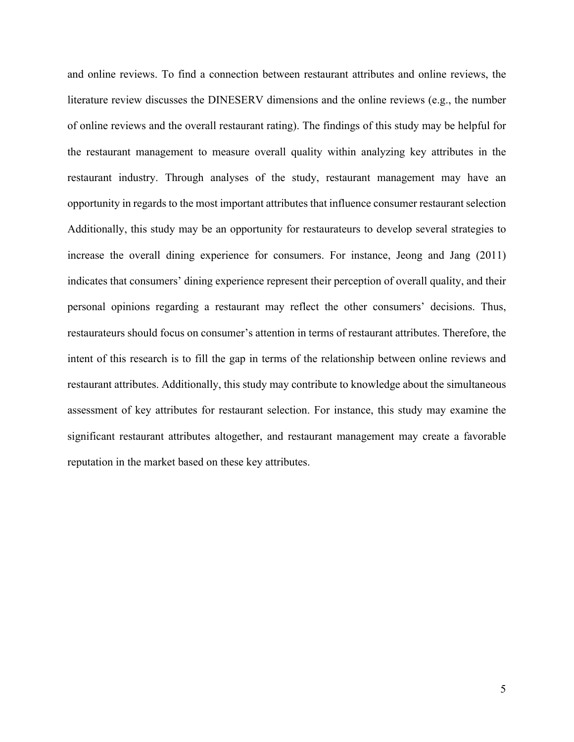and online reviews. To find a connection between restaurant attributes and online reviews, the literature review discusses the DINESERV dimensions and the online reviews (e.g., the number of online reviews and the overall restaurant rating). The findings of this study may be helpful for the restaurant management to measure overall quality within analyzing key attributes in the restaurant industry. Through analyses of the study, restaurant management may have an opportunity in regards to the most important attributes that influence consumer restaurant selection Additionally, this study may be an opportunity for restaurateurs to develop several strategies to increase the overall dining experience for consumers. For instance, Jeong and Jang (2011) indicates that consumers' dining experience represent their perception of overall quality, and their personal opinions regarding a restaurant may reflect the other consumers' decisions. Thus, restaurateurs should focus on consumer's attention in terms of restaurant attributes. Therefore, the intent of this research is to fill the gap in terms of the relationship between online reviews and restaurant attributes. Additionally, this study may contribute to knowledge about the simultaneous assessment of key attributes for restaurant selection. For instance, this study may examine the significant restaurant attributes altogether, and restaurant management may create a favorable reputation in the market based on these key attributes.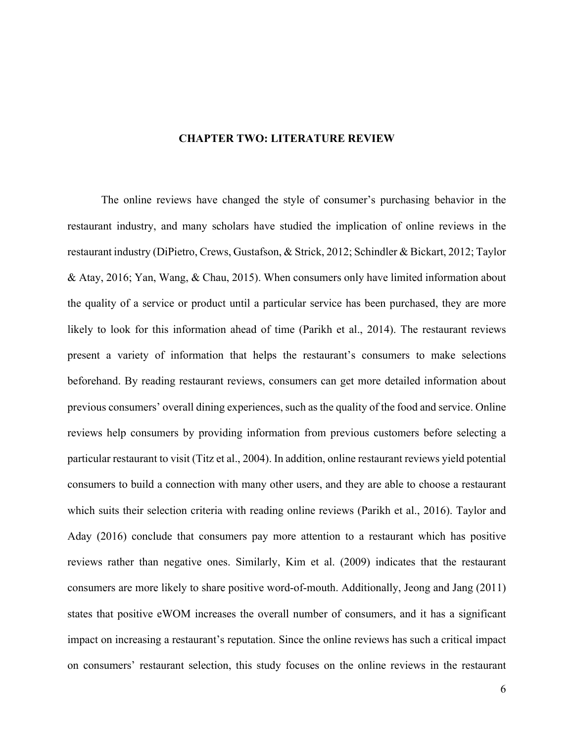# **CHAPTER TWO: LITERATURE REVIEW**

The online reviews have changed the style of consumer's purchasing behavior in the restaurant industry, and many scholars have studied the implication of online reviews in the restaurant industry (DiPietro, Crews, Gustafson, & Strick, 2012; Schindler & Bickart, 2012; Taylor & Atay, 2016; Yan, Wang, & Chau, 2015). When consumers only have limited information about the quality of a service or product until a particular service has been purchased, they are more likely to look for this information ahead of time (Parikh et al., 2014). The restaurant reviews present a variety of information that helps the restaurant's consumers to make selections beforehand. By reading restaurant reviews, consumers can get more detailed information about previous consumers' overall dining experiences, such as the quality of the food and service. Online reviews help consumers by providing information from previous customers before selecting a particular restaurant to visit (Titz et al., 2004). In addition, online restaurant reviews yield potential consumers to build a connection with many other users, and they are able to choose a restaurant which suits their selection criteria with reading online reviews (Parikh et al., 2016). Taylor and Aday (2016) conclude that consumers pay more attention to a restaurant which has positive reviews rather than negative ones. Similarly, Kim et al. (2009) indicates that the restaurant consumers are more likely to share positive word-of-mouth. Additionally, Jeong and Jang (2011) states that positive eWOM increases the overall number of consumers, and it has a significant impact on increasing a restaurant's reputation. Since the online reviews has such a critical impact on consumers' restaurant selection, this study focuses on the online reviews in the restaurant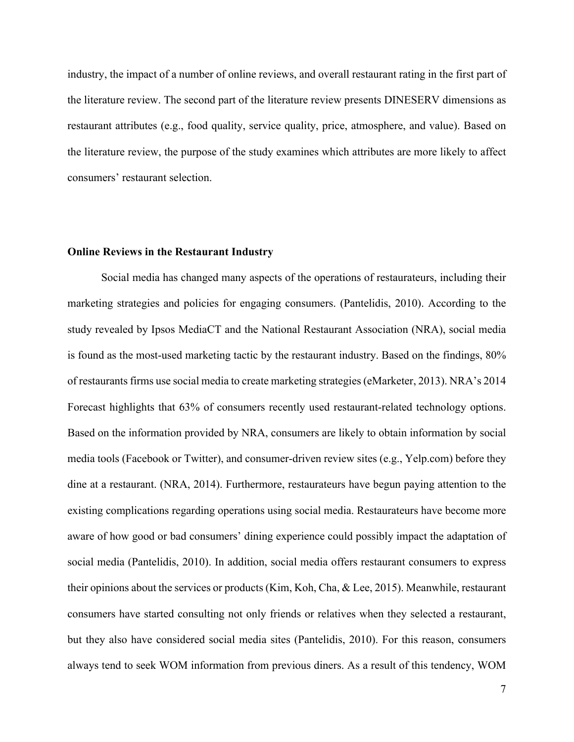industry, the impact of a number of online reviews, and overall restaurant rating in the first part of the literature review. The second part of the literature review presents DINESERV dimensions as restaurant attributes (e.g., food quality, service quality, price, atmosphere, and value). Based on the literature review, the purpose of the study examines which attributes are more likely to affect consumers' restaurant selection.

## **Online Reviews in the Restaurant Industry**

Social media has changed many aspects of the operations of restaurateurs, including their marketing strategies and policies for engaging consumers. (Pantelidis, 2010). According to the study revealed by Ipsos MediaCT and the National Restaurant Association (NRA), social media is found as the most-used marketing tactic by the restaurant industry. Based on the findings, 80% of restaurants firms use social media to create marketing strategies (eMarketer, 2013). NRA's 2014 Forecast highlights that 63% of consumers recently used restaurant-related technology options. Based on the information provided by NRA, consumers are likely to obtain information by social media tools (Facebook or Twitter), and consumer-driven review sites (e.g., Yelp.com) before they dine at a restaurant. (NRA, 2014). Furthermore, restaurateurs have begun paying attention to the existing complications regarding operations using social media. Restaurateurs have become more aware of how good or bad consumers' dining experience could possibly impact the adaptation of social media (Pantelidis, 2010). In addition, social media offers restaurant consumers to express their opinions about the services or products (Kim, Koh, Cha, & Lee, 2015). Meanwhile, restaurant consumers have started consulting not only friends or relatives when they selected a restaurant, but they also have considered social media sites (Pantelidis, 2010). For this reason, consumers always tend to seek WOM information from previous diners. As a result of this tendency, WOM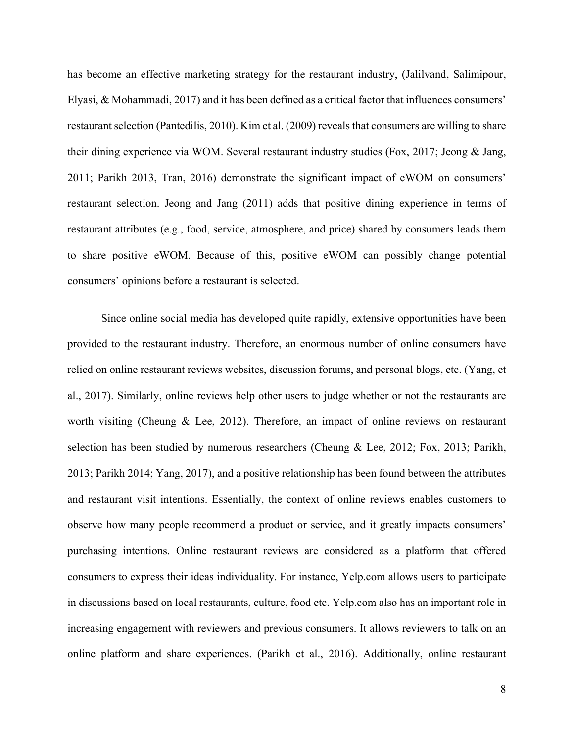has become an effective marketing strategy for the restaurant industry, (Jalilvand, Salimipour, Elyasi, & Mohammadi, 2017) and it has been defined as a critical factor that influences consumers' restaurant selection (Pantedilis, 2010). Kim et al. (2009) reveals that consumers are willing to share their dining experience via WOM. Several restaurant industry studies (Fox, 2017; Jeong & Jang, 2011; Parikh 2013, Tran, 2016) demonstrate the significant impact of eWOM on consumers' restaurant selection. Jeong and Jang (2011) adds that positive dining experience in terms of restaurant attributes (e.g., food, service, atmosphere, and price) shared by consumers leads them to share positive eWOM. Because of this, positive eWOM can possibly change potential consumers' opinions before a restaurant is selected.

Since online social media has developed quite rapidly, extensive opportunities have been provided to the restaurant industry. Therefore, an enormous number of online consumers have relied on online restaurant reviews websites, discussion forums, and personal blogs, etc. (Yang, et al., 2017). Similarly, online reviews help other users to judge whether or not the restaurants are worth visiting (Cheung & Lee, 2012). Therefore, an impact of online reviews on restaurant selection has been studied by numerous researchers (Cheung & Lee, 2012; Fox, 2013; Parikh, 2013; Parikh 2014; Yang, 2017), and a positive relationship has been found between the attributes and restaurant visit intentions. Essentially, the context of online reviews enables customers to observe how many people recommend a product or service, and it greatly impacts consumers' purchasing intentions. Online restaurant reviews are considered as a platform that offered consumers to express their ideas individuality. For instance, Yelp.com allows users to participate in discussions based on local restaurants, culture, food etc. Yelp.com also has an important role in increasing engagement with reviewers and previous consumers. It allows reviewers to talk on an online platform and share experiences. (Parikh et al., 2016). Additionally, online restaurant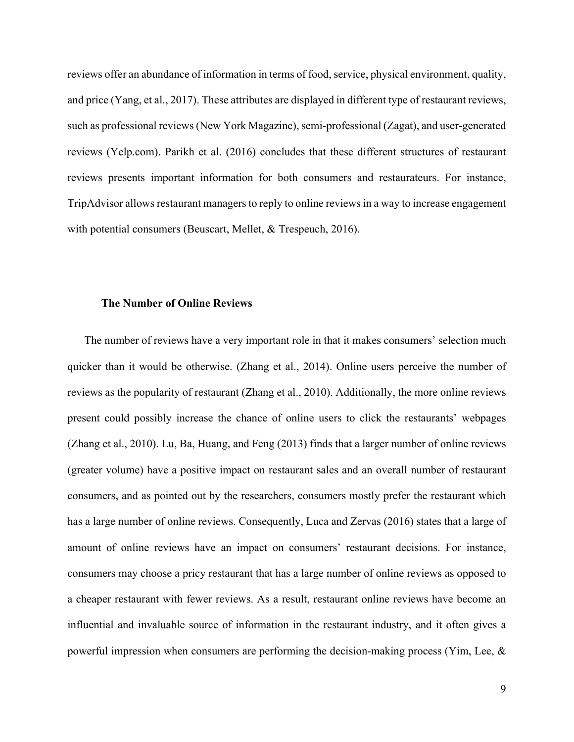reviews offer an abundance of information in terms of food, service, physical environment, quality, and price (Yang, et al., 2017). These attributes are displayed in different type of restaurant reviews, such as professional reviews (New York Magazine), semi-professional (Zagat), and user-generated reviews (Yelp.com). Parikh et al. (2016) concludes that these different structures of restaurant reviews presents important information for both consumers and restaurateurs. For instance, TripAdvisor allows restaurant managers to reply to online reviews in a way to increase engagement with potential consumers (Beuscart, Mellet, & Trespeuch, 2016).

# **The Number of Online Reviews**

The number of reviews have a very important role in that it makes consumers' selection much quicker than it would be otherwise. (Zhang et al., 2014). Online users perceive the number of reviews as the popularity of restaurant (Zhang et al., 2010). Additionally, the more online reviews present could possibly increase the chance of online users to click the restaurants' webpages (Zhang et al., 2010). Lu, Ba, Huang, and Feng (2013) finds that a larger number of online reviews (greater volume) have a positive impact on restaurant sales and an overall number of restaurant consumers, and as pointed out by the researchers, consumers mostly prefer the restaurant which has a large number of online reviews. Consequently, Luca and Zervas (2016) states that a large of amount of online reviews have an impact on consumers' restaurant decisions. For instance, consumers may choose a pricy restaurant that has a large number of online reviews as opposed to a cheaper restaurant with fewer reviews. As a result, restaurant online reviews have become an influential and invaluable source of information in the restaurant industry, and it often gives a powerful impression when consumers are performing the decision-making process (Yim, Lee,  $\&$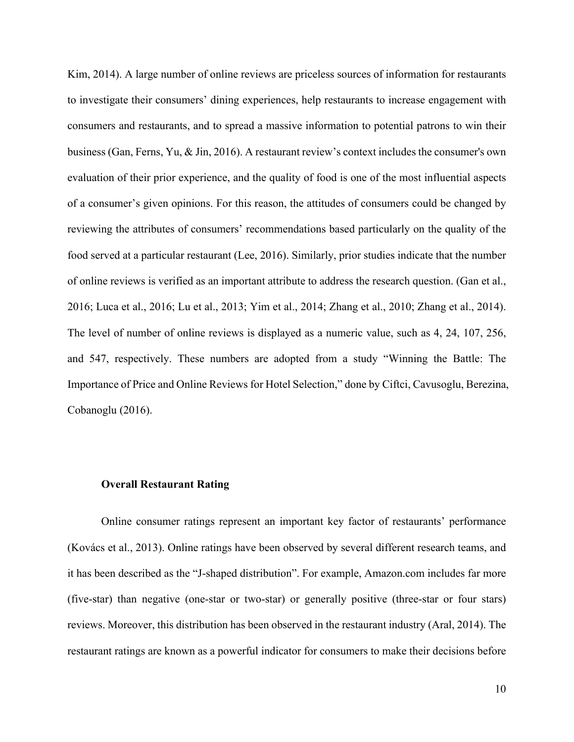Kim, 2014). A large number of online reviews are priceless sources of information for restaurants to investigate their consumers' dining experiences, help restaurants to increase engagement with consumers and restaurants, and to spread a massive information to potential patrons to win their business (Gan, Ferns, Yu, & Jin, 2016). A restaurant review's context includes the consumer's own evaluation of their prior experience, and the quality of food is one of the most influential aspects of a consumer's given opinions. For this reason, the attitudes of consumers could be changed by reviewing the attributes of consumers' recommendations based particularly on the quality of the food served at a particular restaurant (Lee, 2016). Similarly, prior studies indicate that the number of online reviews is verified as an important attribute to address the research question. (Gan et al., 2016; Luca et al., 2016; Lu et al., 2013; Yim et al., 2014; Zhang et al., 2010; Zhang et al., 2014). The level of number of online reviews is displayed as a numeric value, such as 4, 24, 107, 256, and 547, respectively. These numbers are adopted from a study "Winning the Battle: The Importance of Price and Online Reviews for Hotel Selection," done by Ciftci, Cavusoglu, Berezina, Cobanoglu (2016).

#### **Overall Restaurant Rating**

Online consumer ratings represent an important key factor of restaurants' performance (Kovács et al., 2013). Online ratings have been observed by several different research teams, and it has been described as the "J-shaped distribution". For example, Amazon.com includes far more (five-star) than negative (one-star or two-star) or generally positive (three-star or four stars) reviews. Moreover, this distribution has been observed in the restaurant industry (Aral, 2014). The restaurant ratings are known as a powerful indicator for consumers to make their decisions before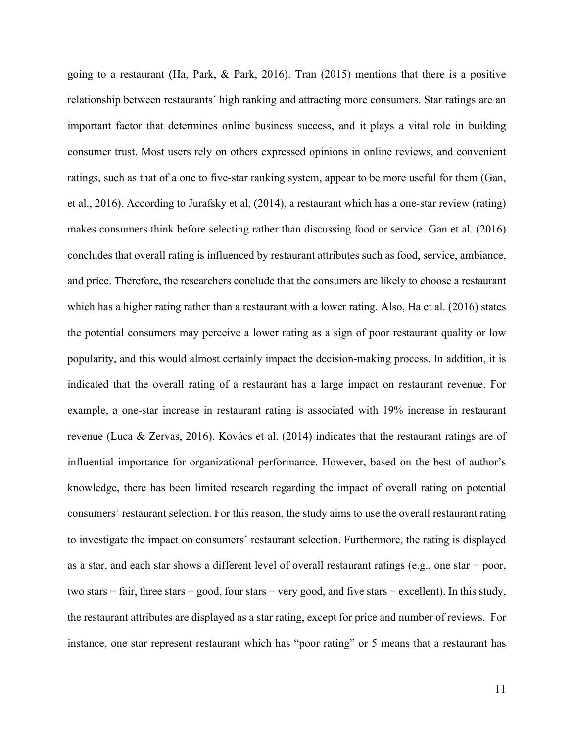going to a restaurant (Ha, Park, & Park, 2016). Tran (2015) mentions that there is a positive relationship between restaurants' high ranking and attracting more consumers. Star ratings are an important factor that determines online business success, and it plays a vital role in building consumer trust. Most users rely on others expressed opinions in online reviews, and convenient ratings, such as that of a one to five-star ranking system, appear to be more useful for them (Gan, et al., 2016). According to Jurafsky et al, (2014), a restaurant which has a one-star review (rating) makes consumers think before selecting rather than discussing food or service. Gan et al. (2016) concludes that overall rating is influenced by restaurant attributes such as food, service, ambiance, and price. Therefore, the researchers conclude that the consumers are likely to choose a restaurant which has a higher rating rather than a restaurant with a lower rating. Also, Ha et al. (2016) states the potential consumers may perceive a lower rating as a sign of poor restaurant quality or low popularity, and this would almost certainly impact the decision-making process. In addition, it is indicated that the overall rating of a restaurant has a large impact on restaurant revenue. For example, a one-star increase in restaurant rating is associated with 19% increase in restaurant revenue (Luca & Zervas, 2016). Kovács et al. (2014) indicates that the restaurant ratings are of influential importance for organizational performance. However, based on the best of author's knowledge, there has been limited research regarding the impact of overall rating on potential consumers' restaurant selection. For this reason, the study aims to use the overall restaurant rating to investigate the impact on consumers' restaurant selection. Furthermore, the rating is displayed as a star, and each star shows a different level of overall restaurant ratings (e.g., one star = poor, two stars = fair, three stars = good, four stars = very good, and five stars = excellent). In this study, the restaurant attributes are displayed as a star rating, except for price and number of reviews. For instance, one star represent restaurant which has "poor rating" or 5 means that a restaurant has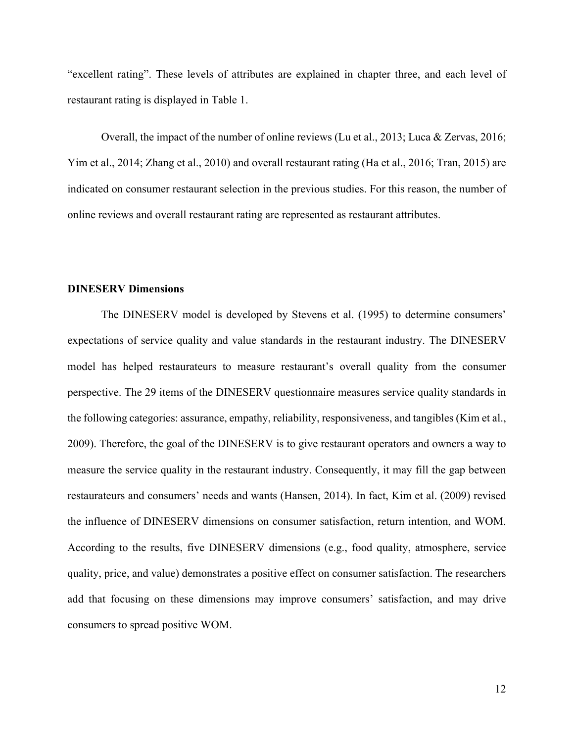"excellent rating". These levels of attributes are explained in chapter three, and each level of restaurant rating is displayed in Table 1.

Overall, the impact of the number of online reviews (Lu et al., 2013; Luca & Zervas, 2016; Yim et al., 2014; Zhang et al., 2010) and overall restaurant rating (Ha et al., 2016; Tran, 2015) are indicated on consumer restaurant selection in the previous studies. For this reason, the number of online reviews and overall restaurant rating are represented as restaurant attributes.

# **DINESERV Dimensions**

The DINESERV model is developed by Stevens et al. (1995) to determine consumers' expectations of service quality and value standards in the restaurant industry. The DINESERV model has helped restaurateurs to measure restaurant's overall quality from the consumer perspective. The 29 items of the DINESERV questionnaire measures service quality standards in the following categories: assurance, empathy, reliability, responsiveness, and tangibles (Kim et al., 2009). Therefore, the goal of the DINESERV is to give restaurant operators and owners a way to measure the service quality in the restaurant industry. Consequently, it may fill the gap between restaurateurs and consumers' needs and wants (Hansen, 2014). In fact, Kim et al. (2009) revised the influence of DINESERV dimensions on consumer satisfaction, return intention, and WOM. According to the results, five DINESERV dimensions (e.g., food quality, atmosphere, service quality, price, and value) demonstrates a positive effect on consumer satisfaction. The researchers add that focusing on these dimensions may improve consumers' satisfaction, and may drive consumers to spread positive WOM.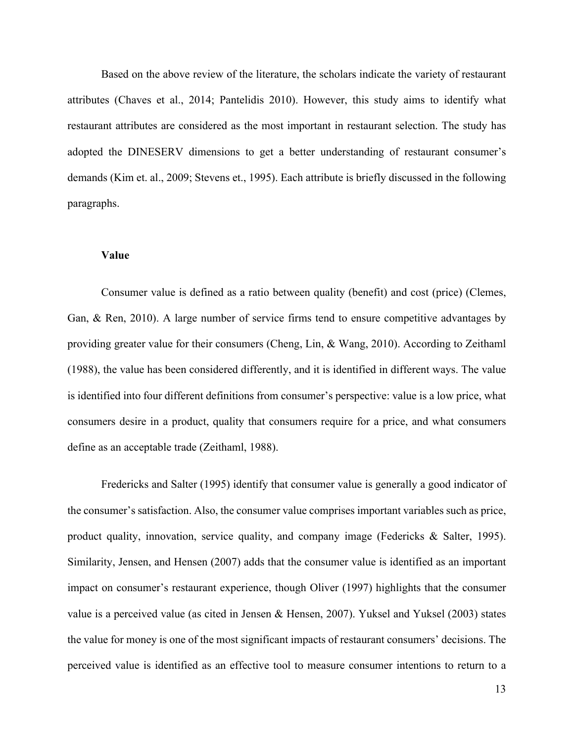Based on the above review of the literature, the scholars indicate the variety of restaurant attributes (Chaves et al., 2014; Pantelidis 2010). However, this study aims to identify what restaurant attributes are considered as the most important in restaurant selection. The study has adopted the DINESERV dimensions to get a better understanding of restaurant consumer's demands (Kim et. al., 2009; Stevens et., 1995). Each attribute is briefly discussed in the following paragraphs.

## **Value**

Consumer value is defined as a ratio between quality (benefit) and cost (price) (Clemes, Gan, & Ren, 2010). A large number of service firms tend to ensure competitive advantages by providing greater value for their consumers (Cheng, Lin, & Wang, 2010). According to Zeithaml (1988), the value has been considered differently, and it is identified in different ways. The value is identified into four different definitions from consumer's perspective: value is a low price, what consumers desire in a product, quality that consumers require for a price, and what consumers define as an acceptable trade (Zeithaml, 1988).

Fredericks and Salter (1995) identify that consumer value is generally a good indicator of the consumer's satisfaction. Also, the consumer value comprises important variables such as price, product quality, innovation, service quality, and company image (Federicks & Salter, 1995). Similarity, Jensen, and Hensen (2007) adds that the consumer value is identified as an important impact on consumer's restaurant experience, though Oliver (1997) highlights that the consumer value is a perceived value (as cited in Jensen & Hensen, 2007). Yuksel and Yuksel (2003) states the value for money is one of the most significant impacts of restaurant consumers' decisions. The perceived value is identified as an effective tool to measure consumer intentions to return to a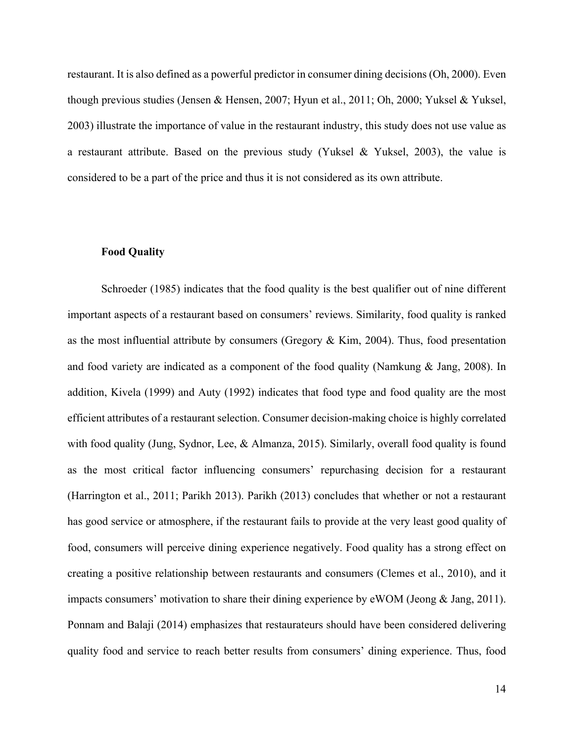restaurant. It is also defined as a powerful predictor in consumer dining decisions (Oh, 2000). Even though previous studies (Jensen & Hensen, 2007; Hyun et al., 2011; Oh, 2000; Yuksel & Yuksel, 2003) illustrate the importance of value in the restaurant industry, this study does not use value as a restaurant attribute. Based on the previous study (Yuksel & Yuksel, 2003), the value is considered to be a part of the price and thus it is not considered as its own attribute.

## **Food Quality**

Schroeder (1985) indicates that the food quality is the best qualifier out of nine different important aspects of a restaurant based on consumers' reviews. Similarity, food quality is ranked as the most influential attribute by consumers (Gregory & Kim, 2004). Thus, food presentation and food variety are indicated as a component of the food quality (Namkung & Jang, 2008). In addition, Kivela (1999) and Auty (1992) indicates that food type and food quality are the most efficient attributes of a restaurant selection. Consumer decision-making choice is highly correlated with food quality (Jung, Sydnor, Lee, & Almanza, 2015). Similarly, overall food quality is found as the most critical factor influencing consumers' repurchasing decision for a restaurant (Harrington et al., 2011; Parikh 2013). Parikh (2013) concludes that whether or not a restaurant has good service or atmosphere, if the restaurant fails to provide at the very least good quality of food, consumers will perceive dining experience negatively. Food quality has a strong effect on creating a positive relationship between restaurants and consumers (Clemes et al., 2010), and it impacts consumers' motivation to share their dining experience by eWOM (Jeong & Jang, 2011). Ponnam and Balaji (2014) emphasizes that restaurateurs should have been considered delivering quality food and service to reach better results from consumers' dining experience. Thus, food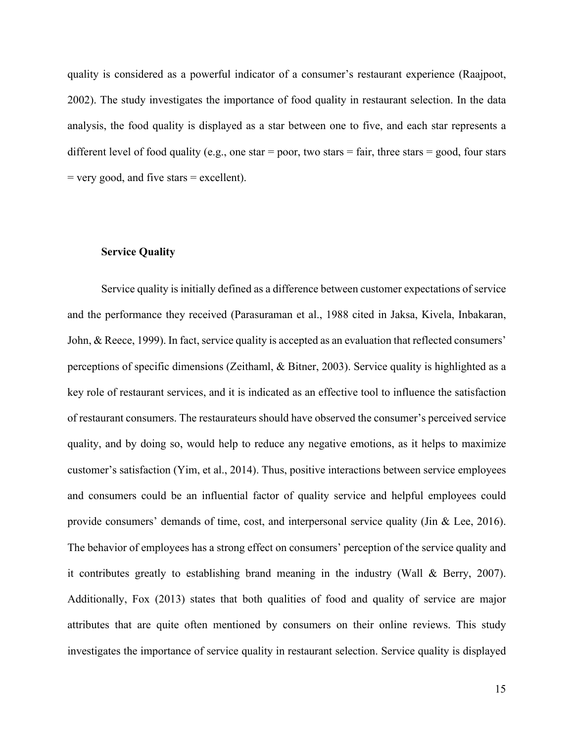quality is considered as a powerful indicator of a consumer's restaurant experience (Raajpoot, 2002). The study investigates the importance of food quality in restaurant selection. In the data analysis, the food quality is displayed as a star between one to five, and each star represents a different level of food quality (e.g., one star  $=$  poor, two stars  $=$  fair, three stars  $=$  good, four stars  $=$  very good, and five stars  $=$  excellent).

#### **Service Quality**

Service quality is initially defined as a difference between customer expectations of service and the performance they received (Parasuraman et al., 1988 cited in Jaksa, Kivela, Inbakaran, John, & Reece, 1999). In fact, service quality is accepted as an evaluation that reflected consumers' perceptions of specific dimensions (Zeithaml, & Bitner, 2003). Service quality is highlighted as a key role of restaurant services, and it is indicated as an effective tool to influence the satisfaction of restaurant consumers. The restaurateurs should have observed the consumer's perceived service quality, and by doing so, would help to reduce any negative emotions, as it helps to maximize customer's satisfaction (Yim, et al., 2014). Thus, positive interactions between service employees and consumers could be an influential factor of quality service and helpful employees could provide consumers' demands of time, cost, and interpersonal service quality (Jin & Lee, 2016). The behavior of employees has a strong effect on consumers' perception of the service quality and it contributes greatly to establishing brand meaning in the industry (Wall & Berry, 2007). Additionally, Fox (2013) states that both qualities of food and quality of service are major attributes that are quite often mentioned by consumers on their online reviews. This study investigates the importance of service quality in restaurant selection. Service quality is displayed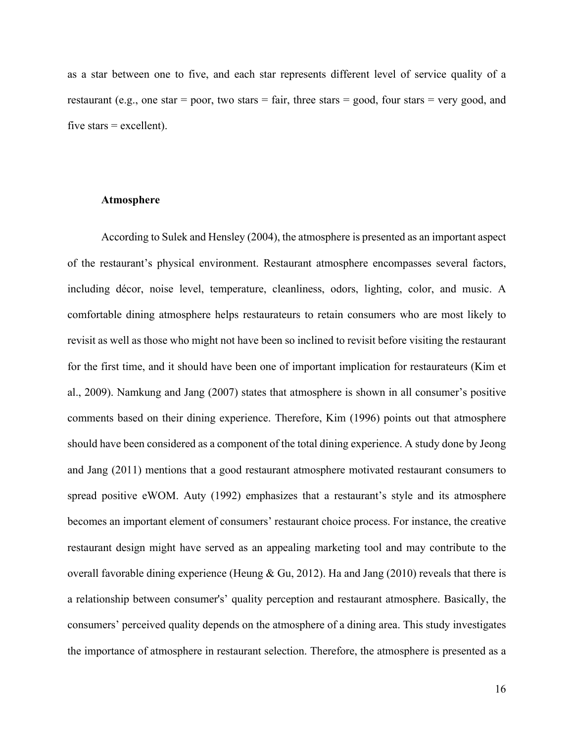as a star between one to five, and each star represents different level of service quality of a restaurant (e.g., one star  $=$  poor, two stars  $=$  fair, three stars  $=$  good, four stars  $=$  very good, and five stars  $=$  excellent).

## **Atmosphere**

According to Sulek and Hensley (2004), the atmosphere is presented as an important aspect of the restaurant's physical environment. Restaurant atmosphere encompasses several factors, including décor, noise level, temperature, cleanliness, odors, lighting, color, and music. A comfortable dining atmosphere helps restaurateurs to retain consumers who are most likely to revisit as well as those who might not have been so inclined to revisit before visiting the restaurant for the first time, and it should have been one of important implication for restaurateurs (Kim et al., 2009). Namkung and Jang (2007) states that atmosphere is shown in all consumer's positive comments based on their dining experience. Therefore, Kim (1996) points out that atmosphere should have been considered as a component of the total dining experience. A study done by Jeong and Jang (2011) mentions that a good restaurant atmosphere motivated restaurant consumers to spread positive eWOM. Auty (1992) emphasizes that a restaurant's style and its atmosphere becomes an important element of consumers' restaurant choice process. For instance, the creative restaurant design might have served as an appealing marketing tool and may contribute to the overall favorable dining experience (Heung & Gu, 2012). Ha and Jang (2010) reveals that there is a relationship between consumer's' quality perception and restaurant atmosphere. Basically, the consumers' perceived quality depends on the atmosphere of a dining area. This study investigates the importance of atmosphere in restaurant selection. Therefore, the atmosphere is presented as a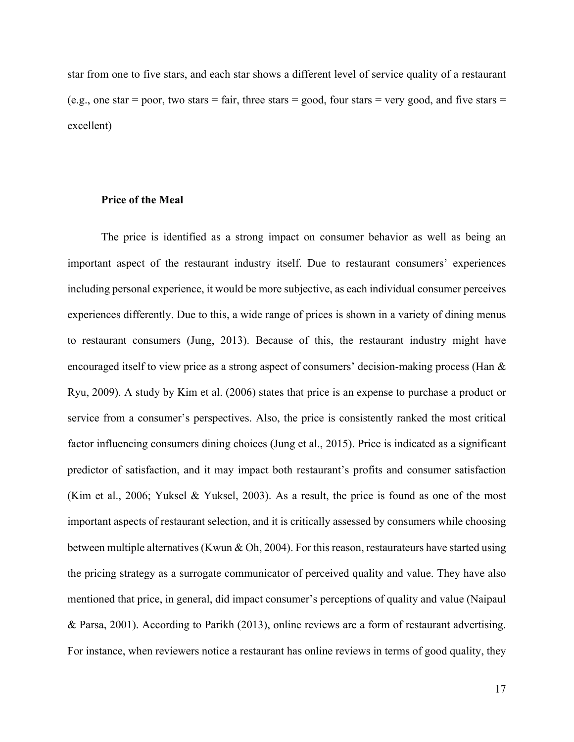star from one to five stars, and each star shows a different level of service quality of a restaurant (e.g., one star  $=$  poor, two stars  $=$  fair, three stars  $=$  good, four stars  $=$  very good, and five stars  $=$ excellent)

#### **Price of the Meal**

The price is identified as a strong impact on consumer behavior as well as being an important aspect of the restaurant industry itself. Due to restaurant consumers' experiences including personal experience, it would be more subjective, as each individual consumer perceives experiences differently. Due to this, a wide range of prices is shown in a variety of dining menus to restaurant consumers (Jung, 2013). Because of this, the restaurant industry might have encouraged itself to view price as a strong aspect of consumers' decision-making process (Han & Ryu, 2009). A study by Kim et al. (2006) states that price is an expense to purchase a product or service from a consumer's perspectives. Also, the price is consistently ranked the most critical factor influencing consumers dining choices (Jung et al., 2015). Price is indicated as a significant predictor of satisfaction, and it may impact both restaurant's profits and consumer satisfaction (Kim et al., 2006; Yuksel & Yuksel, 2003). As a result, the price is found as one of the most important aspects of restaurant selection, and it is critically assessed by consumers while choosing between multiple alternatives (Kwun & Oh, 2004). For this reason, restaurateurs have started using the pricing strategy as a surrogate communicator of perceived quality and value. They have also mentioned that price, in general, did impact consumer's perceptions of quality and value (Naipaul & Parsa, 2001). According to Parikh (2013), online reviews are a form of restaurant advertising. For instance, when reviewers notice a restaurant has online reviews in terms of good quality, they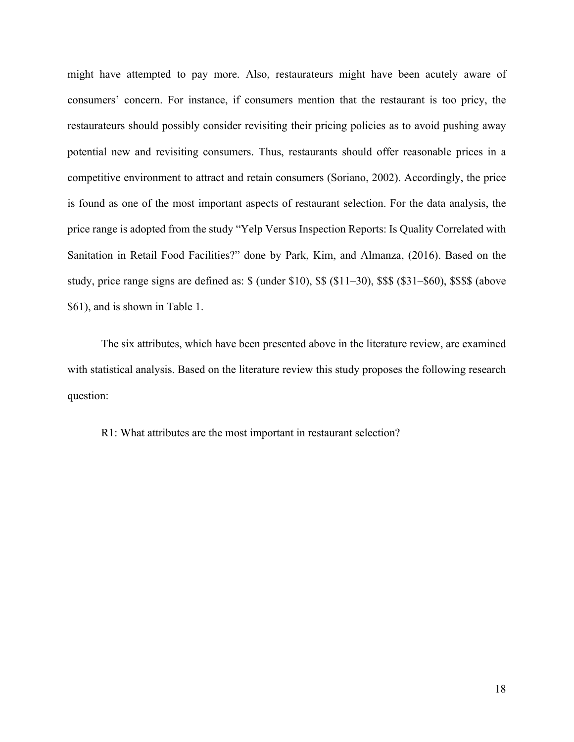might have attempted to pay more. Also, restaurateurs might have been acutely aware of consumers' concern. For instance, if consumers mention that the restaurant is too pricy, the restaurateurs should possibly consider revisiting their pricing policies as to avoid pushing away potential new and revisiting consumers. Thus, restaurants should offer reasonable prices in a competitive environment to attract and retain consumers (Soriano, 2002). Accordingly, the price is found as one of the most important aspects of restaurant selection. For the data analysis, the price range is adopted from the study "Yelp Versus Inspection Reports: Is Quality Correlated with Sanitation in Retail Food Facilities?" done by Park, Kim, and Almanza, (2016). Based on the study, price range signs are defined as: \$ (under \$10), \$\$ (\$11–30), \$\$\$ (\$31–\$60), \$\$\$\$ (above \$61), and is shown in Table 1.

The six attributes, which have been presented above in the literature review, are examined with statistical analysis. Based on the literature review this study proposes the following research question:

R1: What attributes are the most important in restaurant selection?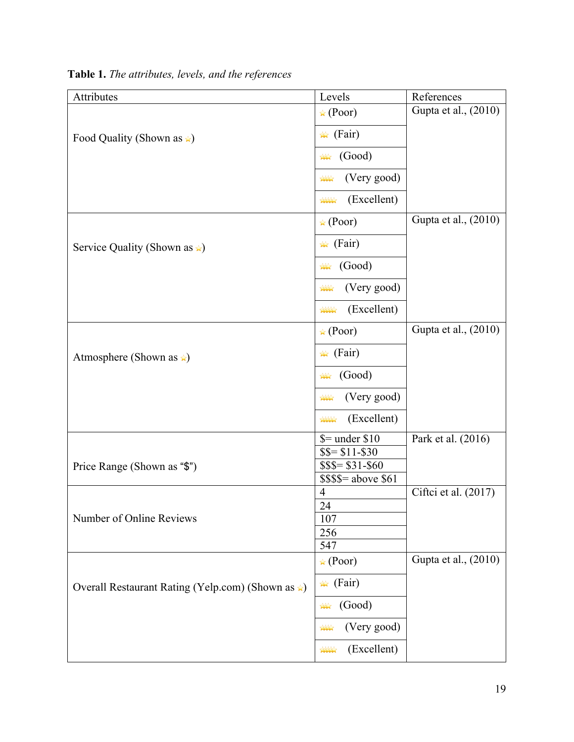| Attributes                                               | Levels                                                                                                                                                                                                                                                                                                                                                             | References           |
|----------------------------------------------------------|--------------------------------------------------------------------------------------------------------------------------------------------------------------------------------------------------------------------------------------------------------------------------------------------------------------------------------------------------------------------|----------------------|
|                                                          | $\star$ (Poor)                                                                                                                                                                                                                                                                                                                                                     | Gupta et al., (2010) |
| Food Quality (Shown as $\triangle$ )                     | $\star$ (Fair)                                                                                                                                                                                                                                                                                                                                                     |                      |
|                                                          | (Good)<br>$\frac{1}{2}$                                                                                                                                                                                                                                                                                                                                            |                      |
|                                                          | (Very good)<br>$\frac{1}{2}$                                                                                                                                                                                                                                                                                                                                       |                      |
|                                                          | (Excellent)<br><b>ANALY</b>                                                                                                                                                                                                                                                                                                                                        |                      |
|                                                          | $\star$ (Poor)                                                                                                                                                                                                                                                                                                                                                     | Gupta et al., (2010) |
| Service Quality (Shown as $\angle$ )                     | $\star$ (Fair)                                                                                                                                                                                                                                                                                                                                                     |                      |
|                                                          | (Good)<br>$\mathbb{R}$                                                                                                                                                                                                                                                                                                                                             |                      |
|                                                          | (Very good)<br>$\frac{1}{2}$                                                                                                                                                                                                                                                                                                                                       |                      |
|                                                          | (Excellent)<br><b>XXXX</b>                                                                                                                                                                                                                                                                                                                                         |                      |
| Atmosphere (Shown as $\star$ )                           | $\star$ (Poor)                                                                                                                                                                                                                                                                                                                                                     | Gupta et al., (2010) |
|                                                          | $\star$ (Fair)                                                                                                                                                                                                                                                                                                                                                     |                      |
|                                                          | (Good)<br>$\mathbb{R}$                                                                                                                                                                                                                                                                                                                                             |                      |
|                                                          | (Very good)<br>$\mathbf{X}$                                                                                                                                                                                                                                                                                                                                        |                      |
|                                                          | (Excellent)<br><b>XXXX</b>                                                                                                                                                                                                                                                                                                                                         |                      |
|                                                          | $\mathcal{S}$ = under \$10                                                                                                                                                                                                                                                                                                                                         | Park et al. (2016)   |
|                                                          | \$\$=\$11-\$30                                                                                                                                                                                                                                                                                                                                                     |                      |
| Price Range (Shown as "\$")                              | $$$ \$\$= \$31-\$60<br>$$$ \$\$\$= above \$61                                                                                                                                                                                                                                                                                                                      |                      |
|                                                          | 4                                                                                                                                                                                                                                                                                                                                                                  | Ciftci et al. (2017) |
|                                                          | 24                                                                                                                                                                                                                                                                                                                                                                 |                      |
| Number of Online Reviews                                 | 107                                                                                                                                                                                                                                                                                                                                                                |                      |
|                                                          | 256                                                                                                                                                                                                                                                                                                                                                                |                      |
|                                                          | 547<br>$\star$ (Poor)                                                                                                                                                                                                                                                                                                                                              | Gupta et al., (2010) |
| Overall Restaurant Rating (Yelp.com) (Shown as $\star$ ) | $\star$ (Fair)                                                                                                                                                                                                                                                                                                                                                     |                      |
|                                                          | (Good)<br>$\rightsquigarrow$                                                                                                                                                                                                                                                                                                                                       |                      |
|                                                          | (Very good)<br>$\mathbb{A}^{\mathbb{A} \mathbb{A}}$                                                                                                                                                                                                                                                                                                                |                      |
|                                                          | (Excellent)<br>$\begin{picture}(120,10) \put(0,0){\line(1,0){10}} \put(15,0){\line(1,0){10}} \put(15,0){\line(1,0){10}} \put(15,0){\line(1,0){10}} \put(15,0){\line(1,0){10}} \put(15,0){\line(1,0){10}} \put(15,0){\line(1,0){10}} \put(15,0){\line(1,0){10}} \put(15,0){\line(1,0){10}} \put(15,0){\line(1,0){10}} \put(15,0){\line(1,0){10}} \put(15,0){\line($ |                      |

**Table 1.** *The attributes, levels, and the references*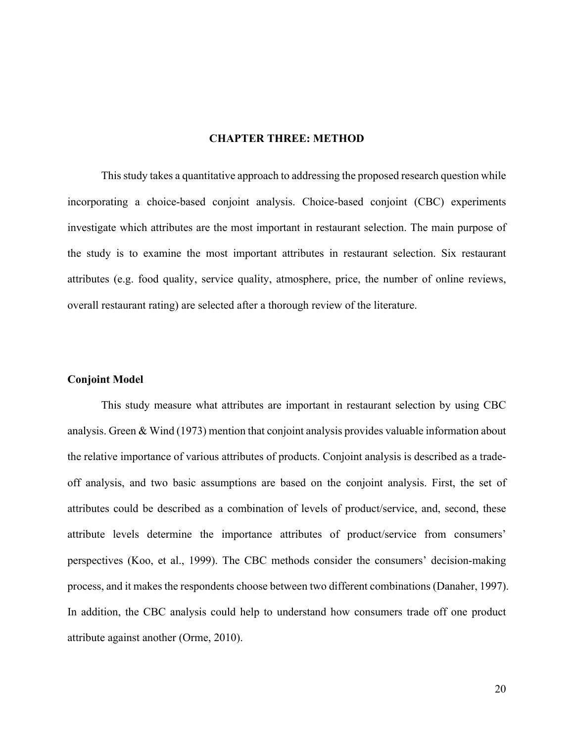#### **CHAPTER THREE: METHOD**

This study takes a quantitative approach to addressing the proposed research question while incorporating a choice-based conjoint analysis. Choice-based conjoint (CBC) experiments investigate which attributes are the most important in restaurant selection. The main purpose of the study is to examine the most important attributes in restaurant selection. Six restaurant attributes (e.g. food quality, service quality, atmosphere, price, the number of online reviews, overall restaurant rating) are selected after a thorough review of the literature.

#### **Conjoint Model**

This study measure what attributes are important in restaurant selection by using CBC analysis. Green & Wind (1973) mention that conjoint analysis provides valuable information about the relative importance of various attributes of products. Conjoint analysis is described as a tradeoff analysis, and two basic assumptions are based on the conjoint analysis. First, the set of attributes could be described as a combination of levels of product/service, and, second, these attribute levels determine the importance attributes of product/service from consumers' perspectives (Koo, et al., 1999). The CBC methods consider the consumers' decision-making process, and it makes the respondents choose between two different combinations (Danaher, 1997). In addition, the CBC analysis could help to understand how consumers trade off one product attribute against another (Orme, 2010).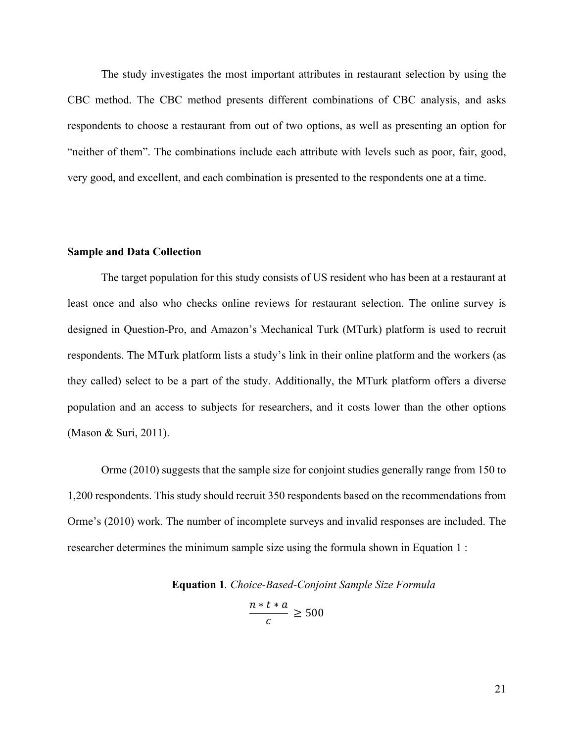The study investigates the most important attributes in restaurant selection by using the CBC method. The CBC method presents different combinations of CBC analysis, and asks respondents to choose a restaurant from out of two options, as well as presenting an option for "neither of them". The combinations include each attribute with levels such as poor, fair, good, very good, and excellent, and each combination is presented to the respondents one at a time.

#### **Sample and Data Collection**

The target population for this study consists of US resident who has been at a restaurant at least once and also who checks online reviews for restaurant selection. The online survey is designed in Question-Pro, and Amazon's Mechanical Turk (MTurk) platform is used to recruit respondents. The MTurk platform lists a study's link in their online platform and the workers (as they called) select to be a part of the study. Additionally, the MTurk platform offers a diverse population and an access to subjects for researchers, and it costs lower than the other options (Mason & Suri, 2011).

Orme (2010) suggests that the sample size for conjoint studies generally range from 150 to 1,200 respondents. This study should recruit 350 respondents based on the recommendations from Orme's (2010) work. The number of incomplete surveys and invalid responses are included. The researcher determines the minimum sample size using the formula shown in Equation 1 :

**Equation 1***. Choice-Based-Conjoint Sample Size Formula*

$$
\frac{n*t*a}{c} \ge 500
$$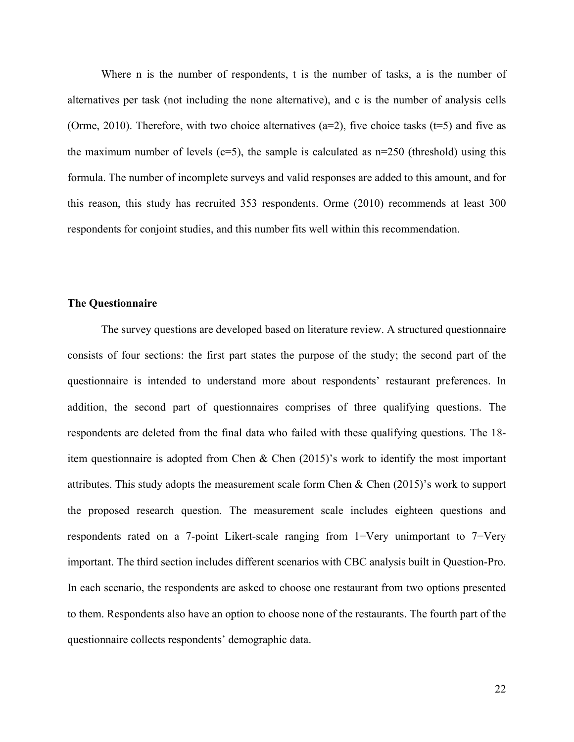Where n is the number of respondents, t is the number of tasks, a is the number of alternatives per task (not including the none alternative), and c is the number of analysis cells (Orme, 2010). Therefore, with two choice alternatives ( $a=2$ ), five choice tasks ( $t=5$ ) and five as the maximum number of levels ( $c=5$ ), the sample is calculated as  $n=250$  (threshold) using this formula. The number of incomplete surveys and valid responses are added to this amount, and for this reason, this study has recruited 353 respondents. Orme (2010) recommends at least 300 respondents for conjoint studies, and this number fits well within this recommendation.

#### **The Questionnaire**

The survey questions are developed based on literature review. A structured questionnaire consists of four sections: the first part states the purpose of the study; the second part of the questionnaire is intended to understand more about respondents' restaurant preferences. In addition, the second part of questionnaires comprises of three qualifying questions. The respondents are deleted from the final data who failed with these qualifying questions. The 18 item questionnaire is adopted from Chen & Chen (2015)'s work to identify the most important attributes. This study adopts the measurement scale form Chen & Chen (2015)'s work to support the proposed research question. The measurement scale includes eighteen questions and respondents rated on a 7-point Likert-scale ranging from 1=Very unimportant to 7=Very important. The third section includes different scenarios with CBC analysis built in Question-Pro. In each scenario, the respondents are asked to choose one restaurant from two options presented to them. Respondents also have an option to choose none of the restaurants. The fourth part of the questionnaire collects respondents' demographic data.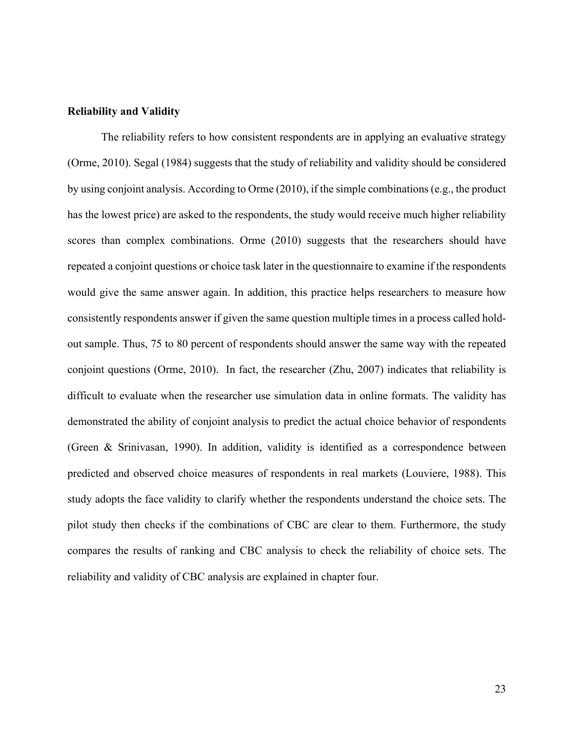#### **Reliability and Validity**

The reliability refers to how consistent respondents are in applying an evaluative strategy (Orme, 2010). Segal (1984) suggests that the study of reliability and validity should be considered by using conjoint analysis. According to Orme (2010), if the simple combinations (e.g., the product has the lowest price) are asked to the respondents, the study would receive much higher reliability scores than complex combinations. Orme (2010) suggests that the researchers should have repeated a conjoint questions or choice task later in the questionnaire to examine if the respondents would give the same answer again. In addition, this practice helps researchers to measure how consistently respondents answer if given the same question multiple times in a process called holdout sample. Thus, 75 to 80 percent of respondents should answer the same way with the repeated conjoint questions (Orme, 2010). In fact, the researcher (Zhu, 2007) indicates that reliability is difficult to evaluate when the researcher use simulation data in online formats. The validity has demonstrated the ability of conjoint analysis to predict the actual choice behavior of respondents (Green & Srinivasan, 1990). In addition, validity is identified as a correspondence between predicted and observed choice measures of respondents in real markets (Louviere, 1988). This study adopts the face validity to clarify whether the respondents understand the choice sets. The pilot study then checks if the combinations of CBC are clear to them. Furthermore, the study compares the results of ranking and CBC analysis to check the reliability of choice sets. The reliability and validity of CBC analysis are explained in chapter four.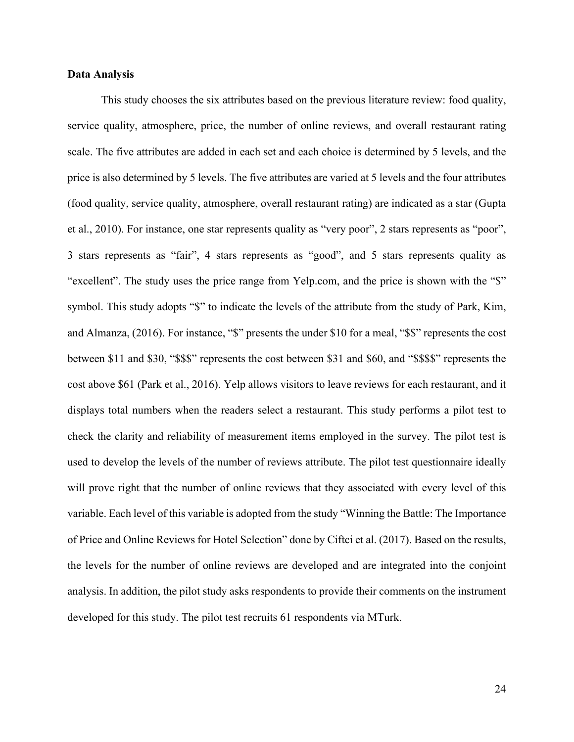#### **Data Analysis**

This study chooses the six attributes based on the previous literature review: food quality, service quality, atmosphere, price, the number of online reviews, and overall restaurant rating scale. The five attributes are added in each set and each choice is determined by 5 levels, and the price is also determined by 5 levels. The five attributes are varied at 5 levels and the four attributes (food quality, service quality, atmosphere, overall restaurant rating) are indicated as a star (Gupta et al., 2010). For instance, one star represents quality as "very poor", 2 stars represents as "poor", 3 stars represents as "fair", 4 stars represents as "good", and 5 stars represents quality as "excellent". The study uses the price range from Yelp.com, and the price is shown with the "\$" symbol. This study adopts "\$" to indicate the levels of the attribute from the study of Park, Kim, and Almanza, (2016). For instance, "\$" presents the under \$10 for a meal, "\$\$" represents the cost between \$11 and \$30, "\$\$\$" represents the cost between \$31 and \$60, and "\$\$\$\$" represents the cost above \$61 (Park et al., 2016). Yelp allows visitors to leave reviews for each restaurant, and it displays total numbers when the readers select a restaurant. This study performs a pilot test to check the clarity and reliability of measurement items employed in the survey. The pilot test is used to develop the levels of the number of reviews attribute. The pilot test questionnaire ideally will prove right that the number of online reviews that they associated with every level of this variable. Each level of this variable is adopted from the study "Winning the Battle: The Importance of Price and Online Reviews for Hotel Selection" done by Ciftci et al. (2017). Based on the results, the levels for the number of online reviews are developed and are integrated into the conjoint analysis. In addition, the pilot study asks respondents to provide their comments on the instrument developed for this study. The pilot test recruits 61 respondents via MTurk.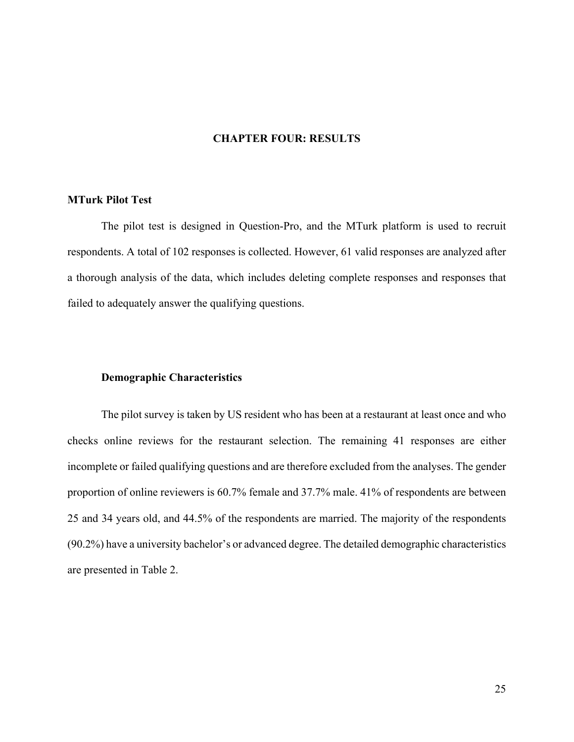# **CHAPTER FOUR: RESULTS**

## **MTurk Pilot Test**

The pilot test is designed in Question-Pro, and the MTurk platform is used to recruit respondents. A total of 102 responses is collected. However, 61 valid responses are analyzed after a thorough analysis of the data, which includes deleting complete responses and responses that failed to adequately answer the qualifying questions.

# **Demographic Characteristics**

The pilot survey is taken by US resident who has been at a restaurant at least once and who checks online reviews for the restaurant selection. The remaining 41 responses are either incomplete or failed qualifying questions and are therefore excluded from the analyses. The gender proportion of online reviewers is 60.7% female and 37.7% male. 41% of respondents are between 25 and 34 years old, and 44.5% of the respondents are married. The majority of the respondents (90.2%) have a university bachelor's or advanced degree. The detailed demographic characteristics are presented in Table 2.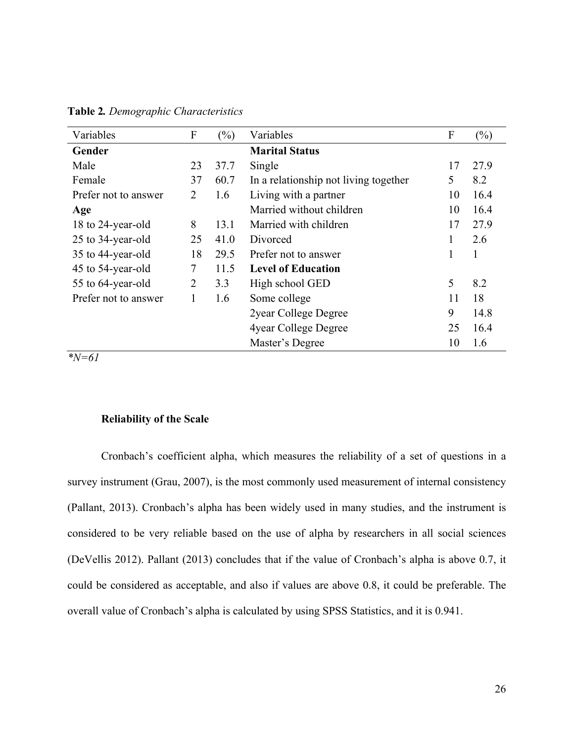| Variables            | F              | $(\%)$ | Variables                             | F  | $(\%)$ |
|----------------------|----------------|--------|---------------------------------------|----|--------|
| Gender               |                |        | <b>Marital Status</b>                 |    |        |
| Male                 | 23             | 37.7   | Single                                | 17 | 27.9   |
| Female               | 37             | 60.7   | In a relationship not living together | 5  | 8.2    |
| Prefer not to answer | $\overline{2}$ | 1.6    | Living with a partner                 | 10 | 16.4   |
| Age                  |                |        | Married without children              | 10 | 16.4   |
| 18 to 24-year-old    | 8              | 13.1   | Married with children                 | 17 | 27.9   |
| 25 to 34-year-old    | 25             | 41.0   | Divorced                              | 1  | 2.6    |
| 35 to 44-year-old    | 18             | 29.5   | Prefer not to answer                  |    | 1      |
| 45 to 54-year-old    | 7              | 11.5   | <b>Level of Education</b>             |    |        |
| 55 to 64-year-old    | $\overline{2}$ | 3.3    | High school GED                       | 5  | 8.2    |
| Prefer not to answer | 1              | 1.6    | Some college                          | 11 | 18     |
|                      |                |        | 2year College Degree                  | 9  | 14.8   |
|                      |                |        | 4year College Degree                  | 25 | 16.4   |
|                      |                |        | Master's Degree                       | 10 | 1.6    |

**Table 2***. Demographic Characteristics*

*\*N=61*

# **Reliability of the Scale**

Cronbach's coefficient alpha, which measures the reliability of a set of questions in a survey instrument (Grau, 2007), is the most commonly used measurement of internal consistency (Pallant, 2013). Cronbach's alpha has been widely used in many studies, and the instrument is considered to be very reliable based on the use of alpha by researchers in all social sciences (DeVellis 2012). Pallant (2013) concludes that if the value of Cronbach's alpha is above 0.7, it could be considered as acceptable, and also if values are above 0.8, it could be preferable. The overall value of Cronbach's alpha is calculated by using SPSS Statistics, and it is 0.941.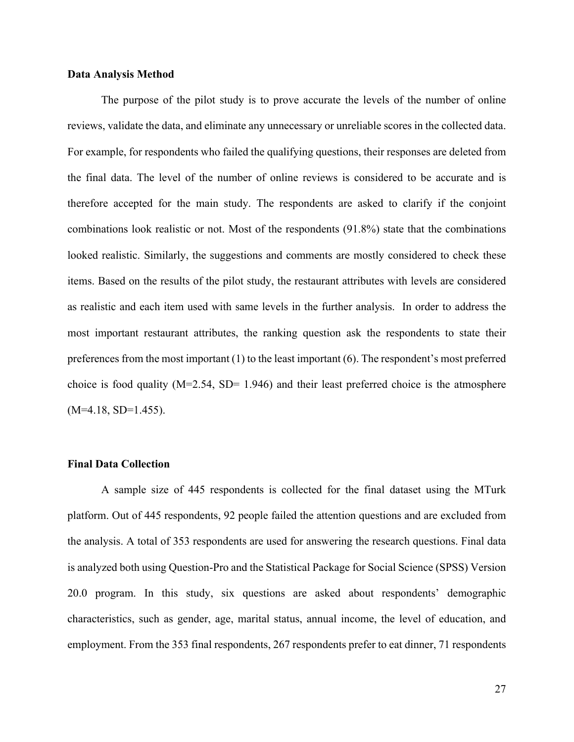#### **Data Analysis Method**

The purpose of the pilot study is to prove accurate the levels of the number of online reviews, validate the data, and eliminate any unnecessary or unreliable scores in the collected data. For example, for respondents who failed the qualifying questions, their responses are deleted from the final data. The level of the number of online reviews is considered to be accurate and is therefore accepted for the main study. The respondents are asked to clarify if the conjoint combinations look realistic or not. Most of the respondents (91.8%) state that the combinations looked realistic. Similarly, the suggestions and comments are mostly considered to check these items. Based on the results of the pilot study, the restaurant attributes with levels are considered as realistic and each item used with same levels in the further analysis. In order to address the most important restaurant attributes, the ranking question ask the respondents to state their preferences from the most important (1) to the least important (6). The respondent's most preferred choice is food quality  $(M=2.54, SD= 1.946)$  and their least preferred choice is the atmosphere  $(M=4.18, SD=1.455)$ .

# **Final Data Collection**

A sample size of 445 respondents is collected for the final dataset using the MTurk platform. Out of 445 respondents, 92 people failed the attention questions and are excluded from the analysis. A total of 353 respondents are used for answering the research questions. Final data is analyzed both using Question-Pro and the Statistical Package for Social Science (SPSS) Version 20.0 program. In this study, six questions are asked about respondents' demographic characteristics, such as gender, age, marital status, annual income, the level of education, and employment. From the 353 final respondents, 267 respondents prefer to eat dinner, 71 respondents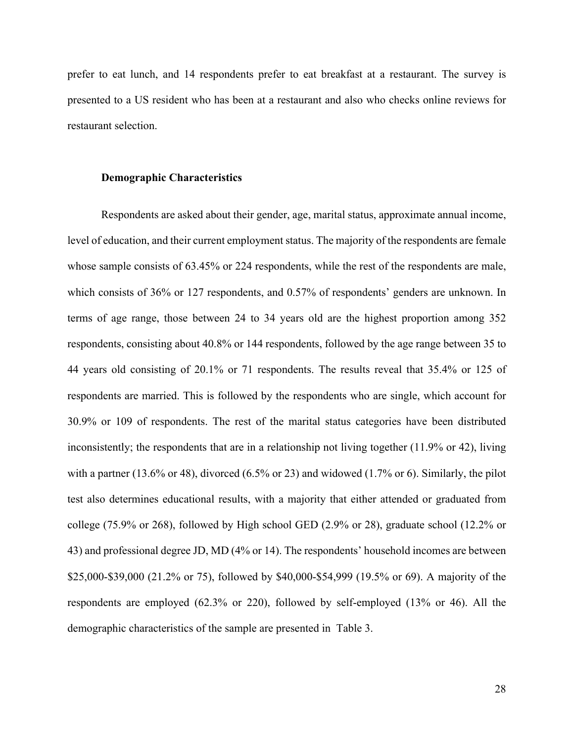prefer to eat lunch, and 14 respondents prefer to eat breakfast at a restaurant. The survey is presented to a US resident who has been at a restaurant and also who checks online reviews for restaurant selection.

#### **Demographic Characteristics**

Respondents are asked about their gender, age, marital status, approximate annual income, level of education, and their current employment status. The majority of the respondents are female whose sample consists of 63.45% or 224 respondents, while the rest of the respondents are male, which consists of 36% or 127 respondents, and 0.57% of respondents' genders are unknown. In terms of age range, those between 24 to 34 years old are the highest proportion among 352 respondents, consisting about 40.8% or 144 respondents, followed by the age range between 35 to 44 years old consisting of 20.1% or 71 respondents. The results reveal that 35.4% or 125 of respondents are married. This is followed by the respondents who are single, which account for 30.9% or 109 of respondents. The rest of the marital status categories have been distributed inconsistently; the respondents that are in a relationship not living together (11.9% or 42), living with a partner (13.6% or 48), divorced (6.5% or 23) and widowed (1.7% or 6). Similarly, the pilot test also determines educational results, with a majority that either attended or graduated from college (75.9% or 268), followed by High school GED (2.9% or 28), graduate school (12.2% or 43) and professional degree JD, MD (4% or 14). The respondents' household incomes are between \$25,000-\$39,000 (21.2% or 75), followed by \$40,000-\$54,999 (19.5% or 69). A majority of the respondents are employed (62.3% or 220), followed by self-employed (13% or 46). All the demographic characteristics of the sample are presented in Table 3.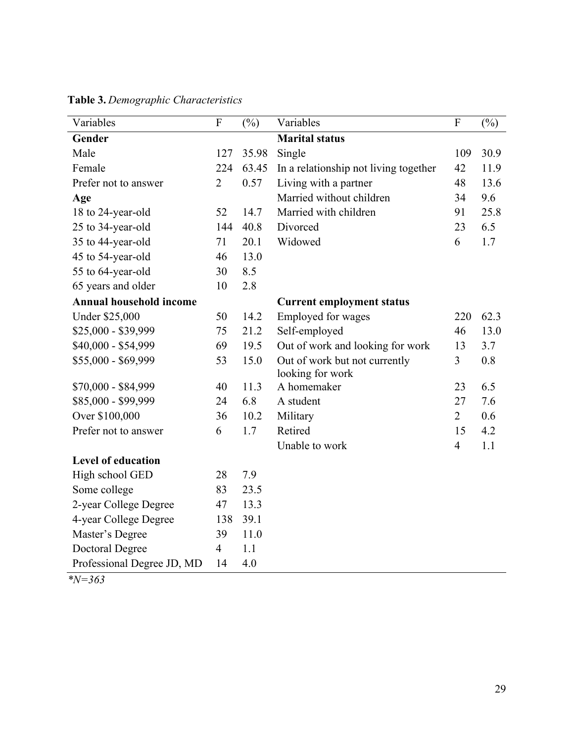| Variables                      | $\overline{F}$ | $(\%)$ | Variables                             | $\overline{F}$ | $(\%)$ |
|--------------------------------|----------------|--------|---------------------------------------|----------------|--------|
| Gender                         |                |        | <b>Marital status</b>                 |                |        |
| Male                           | 127            | 35.98  | Single                                | 109            | 30.9   |
| Female                         | 224            | 63.45  | In a relationship not living together | 42             | 11.9   |
| Prefer not to answer           | $\overline{2}$ | 0.57   | Living with a partner                 | 48             | 13.6   |
| Age                            |                |        | Married without children              | 34             | 9.6    |
| 18 to 24-year-old              | 52             | 14.7   | Married with children                 | 91             | 25.8   |
| 25 to 34-year-old              | 144            | 40.8   | Divorced                              | 23             | 6.5    |
| 35 to 44-year-old              | 71             | 20.1   | Widowed                               | 6              | 1.7    |
| 45 to 54-year-old              | 46             | 13.0   |                                       |                |        |
| 55 to 64-year-old              | 30             | 8.5    |                                       |                |        |
| 65 years and older             | 10             | 2.8    |                                       |                |        |
| <b>Annual household income</b> |                |        | <b>Current employment status</b>      |                |        |
| <b>Under \$25,000</b>          | 50             | 14.2   | Employed for wages                    | 220            | 62.3   |
| \$25,000 - \$39,999            | 75             | 21.2   | Self-employed                         | 46             | 13.0   |
| \$40,000 - \$54,999            | 69             | 19.5   | Out of work and looking for work      | 13             | 3.7    |
| \$55,000 - \$69,999            | 53             | 15.0   | Out of work but not currently         | 3              | 0.8    |
|                                |                |        | looking for work                      |                |        |
| \$70,000 - \$84,999            | 40             | 11.3   | A homemaker                           | 23             | 6.5    |
| \$85,000 - \$99,999            | 24             | 6.8    | A student                             | 27             | 7.6    |
| Over \$100,000                 | 36             | 10.2   | Military                              | $\overline{2}$ | 0.6    |
| Prefer not to answer           | 6              | 1.7    | Retired                               | 15             | 4.2    |
|                                |                |        | Unable to work                        | $\overline{4}$ | 1.1    |
| <b>Level of education</b>      |                |        |                                       |                |        |
| High school GED                | 28             | 7.9    |                                       |                |        |
| Some college                   | 83             | 23.5   |                                       |                |        |
| 2-year College Degree          | 47             | 13.3   |                                       |                |        |
| 4-year College Degree          | 138            | 39.1   |                                       |                |        |
| Master's Degree                | 39             | 11.0   |                                       |                |        |
| <b>Doctoral Degree</b>         | $\overline{4}$ | 1.1    |                                       |                |        |
| Professional Degree JD, MD     | 14             | 4.0    |                                       |                |        |

**Table 3.** *Demographic Characteristics*

*\*N=363*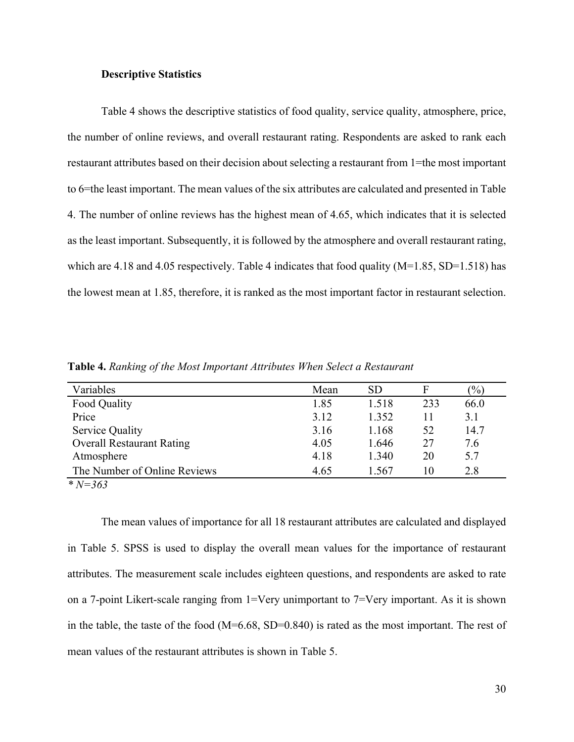### **Descriptive Statistics**

Table 4 shows the descriptive statistics of food quality, service quality, atmosphere, price, the number of online reviews, and overall restaurant rating. Respondents are asked to rank each restaurant attributes based on their decision about selecting a restaurant from 1=the most important to 6=the least important. The mean values of the six attributes are calculated and presented in Table 4. The number of online reviews has the highest mean of 4.65, which indicates that it is selected as the least important. Subsequently, it is followed by the atmosphere and overall restaurant rating, which are 4.18 and 4.05 respectively. Table 4 indicates that food quality  $(M=1.85, SD=1.518)$  has the lowest mean at 1.85, therefore, it is ranked as the most important factor in restaurant selection.

| Variables                        | Mean | <b>SD</b> |     | $\%$ |
|----------------------------------|------|-----------|-----|------|
| Food Quality                     | 1.85 | 1.518     | 233 | 66.0 |
| Price                            | 3.12 | 1.352     | 11  | 3.1  |
| <b>Service Quality</b>           | 3.16 | 1.168     | 52  | 14.7 |
| <b>Overall Restaurant Rating</b> | 4.05 | 1.646     | 27  | 7.6  |
| Atmosphere                       | 4.18 | 1.340     | 20  | 5.7  |
| The Number of Online Reviews     | 4.65 | 1.567     | 10  | 2.8  |

**Table 4.** *Ranking of the Most Important Attributes When Select a Restaurant*

*\* N=363*

The mean values of importance for all 18 restaurant attributes are calculated and displayed in Table 5. SPSS is used to display the overall mean values for the importance of restaurant attributes. The measurement scale includes eighteen questions, and respondents are asked to rate on a 7-point Likert-scale ranging from 1=Very unimportant to 7=Very important. As it is shown in the table, the taste of the food (M=6.68, SD=0.840) is rated as the most important. The rest of mean values of the restaurant attributes is shown in Table 5.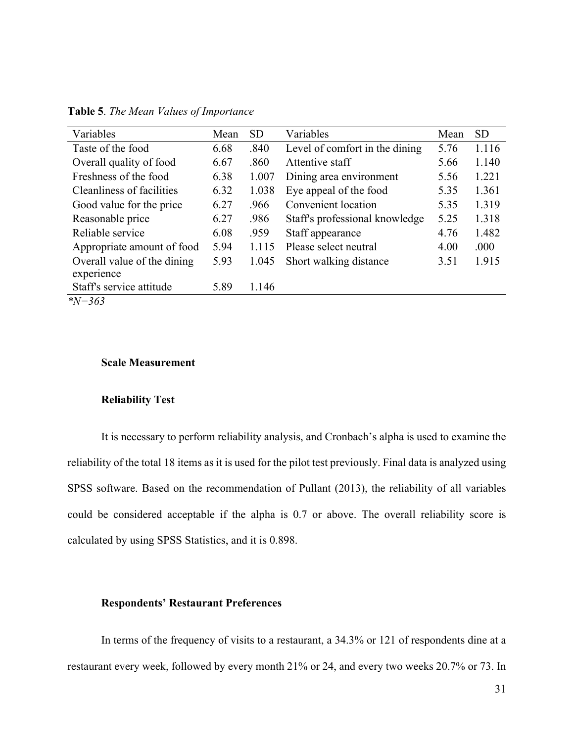| Variables                                 | Mean | <b>SD</b> | Variables                      | Mean | <b>SD</b> |
|-------------------------------------------|------|-----------|--------------------------------|------|-----------|
| Taste of the food                         | 6.68 | .840      | Level of comfort in the dining | 5.76 | 1.116     |
| Overall quality of food                   | 6.67 | .860      | Attentive staff                | 5.66 | 1.140     |
| Freshness of the food                     | 6.38 | 1.007     | Dining area environment        | 5.56 | 1.221     |
| Cleanliness of facilities                 | 6.32 | 1.038     | Eye appeal of the food         | 5.35 | 1.361     |
| Good value for the price                  | 6.27 | .966      | Convenient location            | 5.35 | 1.319     |
| Reasonable price                          | 6.27 | .986      | Staff's professional knowledge | 5.25 | 1.318     |
| Reliable service                          | 6.08 | .959      | Staff appearance               | 4.76 | 1.482     |
| Appropriate amount of food                | 5.94 | 1.115     | Please select neutral          | 4.00 | .000      |
| Overall value of the dining<br>experience | 5.93 | 1.045     | Short walking distance         | 3.51 | 1.915     |
| Staff's service attitude                  | 5.89 | 1.146     |                                |      |           |
| $N = 363$                                 |      |           |                                |      |           |

**Table 5**. *The Mean Values of Importance*

**Scale Measurement**

#### **Reliability Test**

It is necessary to perform reliability analysis, and Cronbach's alpha is used to examine the reliability of the total 18 items as it is used for the pilot test previously. Final data is analyzed using SPSS software. Based on the recommendation of Pullant (2013), the reliability of all variables could be considered acceptable if the alpha is 0.7 or above. The overall reliability score is calculated by using SPSS Statistics, and it is 0.898.

## **Respondents' Restaurant Preferences**

In terms of the frequency of visits to a restaurant, a 34.3% or 121 of respondents dine at a restaurant every week, followed by every month 21% or 24, and every two weeks 20.7% or 73. In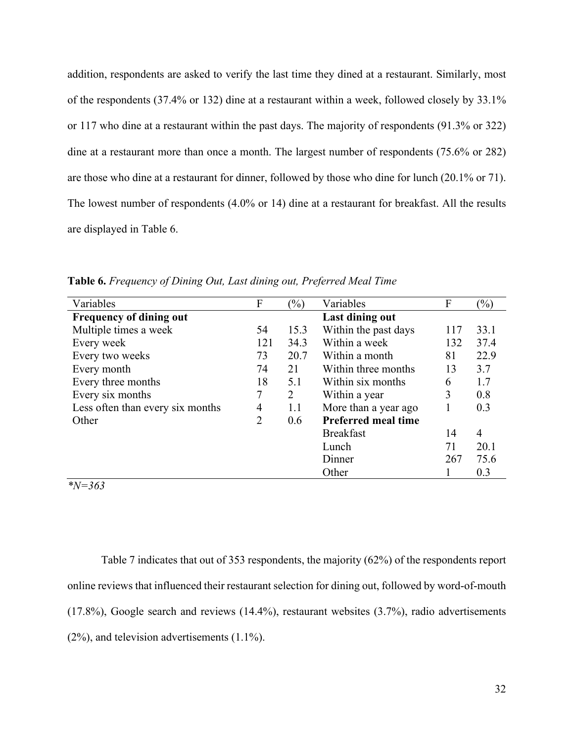addition, respondents are asked to verify the last time they dined at a restaurant. Similarly, most of the respondents (37.4% or 132) dine at a restaurant within a week, followed closely by 33.1% or 117 who dine at a restaurant within the past days. The majority of respondents (91.3% or 322) dine at a restaurant more than once a month. The largest number of respondents (75.6% or 282) are those who dine at a restaurant for dinner, followed by those who dine for lunch (20.1% or 71). The lowest number of respondents (4.0% or 14) dine at a restaurant for breakfast. All the results are displayed in Table 6.

| Variables                        | F              | $\frac{1}{2}$ | Variables                  | F   | $(\%)$ |
|----------------------------------|----------------|---------------|----------------------------|-----|--------|
| <b>Frequency of dining out</b>   |                |               | Last dining out            |     |        |
| Multiple times a week            | 54             | 15.3          | Within the past days       | 117 | 33.1   |
| Every week                       | 121            | 34.3          | Within a week              | 132 | 37.4   |
| Every two weeks                  | 73             | 20.7          | Within a month             | 81  | 22.9   |
| Every month                      | 74             | 21            | Within three months        | 13  | 3.7    |
| Every three months               | 18             | 5.1           | Within six months          | 6   | 1.7    |
| Every six months                 | 7              | 2             | Within a year              | 3   | 0.8    |
| Less often than every six months | $\overline{4}$ | 1.1           | More than a year ago       |     | 0.3    |
| Other                            | 2              | 0.6           | <b>Preferred meal time</b> |     |        |
|                                  |                |               | <b>Breakfast</b>           | 14  | 4      |
|                                  |                |               | Lunch                      | 71  | 20.1   |
|                                  |                |               | Dinner                     | 267 | 75.6   |
|                                  |                |               | Other                      |     | 0.3    |

**Table 6.** *Frequency of Dining Out, Last dining out, Preferred Meal Time*

*\*N=363*

Table 7 indicates that out of 353 respondents, the majority (62%) of the respondents report online reviews that influenced their restaurant selection for dining out, followed by word-of-mouth (17.8%), Google search and reviews (14.4%), restaurant websites (3.7%), radio advertisements (2%), and television advertisements (1.1%).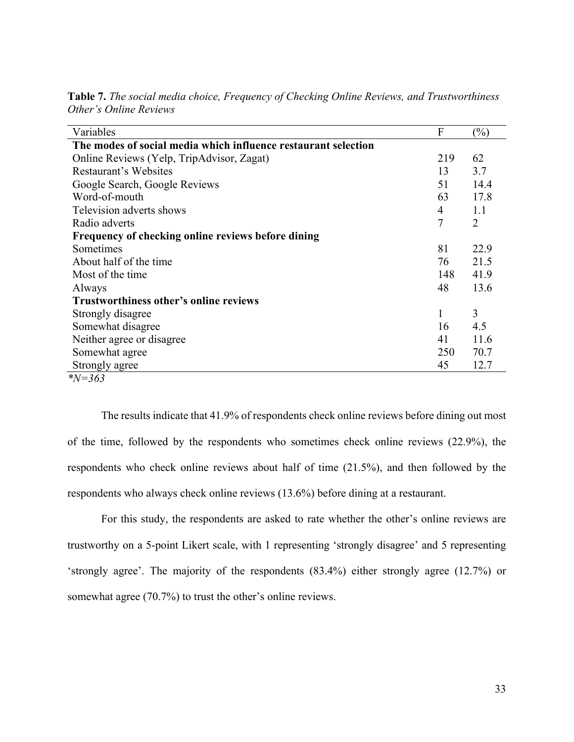| Variables                                                      | F              | $\left(\frac{0}{0}\right)$ |
|----------------------------------------------------------------|----------------|----------------------------|
| The modes of social media which influence restaurant selection |                |                            |
| Online Reviews (Yelp, TripAdvisor, Zagat)                      | 219            | 62                         |
| Restaurant's Websites                                          | 13             | 3.7                        |
| Google Search, Google Reviews                                  | 51             | 14.4                       |
| Word-of-mouth                                                  | 63             | 17.8                       |
| Television adverts shows                                       | 4              | 1.1                        |
| Radio adverts                                                  | $\overline{7}$ | $\overline{2}$             |
| Frequency of checking online reviews before dining             |                |                            |
| Sometimes                                                      | 81             | 22.9                       |
| About half of the time                                         | 76             | 21.5                       |
| Most of the time                                               | 148            | 41.9                       |
| Always                                                         | 48             | 13.6                       |
| <b>Trustworthiness other's online reviews</b>                  |                |                            |
| Strongly disagree                                              | 1              | 3                          |
| Somewhat disagree                                              | 16             | 4.5                        |
| Neither agree or disagree                                      | 41             | 11.6                       |
| Somewhat agree                                                 | 250            | 70.7                       |
| Strongly agree                                                 | 45             | 12.7                       |
| $N = 363$                                                      |                |                            |

**Table 7.** *The social media choice, Frequency of Checking Online Reviews, and Trustworthiness Other's Online Reviews*

The results indicate that 41.9% of respondents check online reviews before dining out most of the time, followed by the respondents who sometimes check online reviews (22.9%), the respondents who check online reviews about half of time (21.5%), and then followed by the respondents who always check online reviews (13.6%) before dining at a restaurant.

For this study, the respondents are asked to rate whether the other's online reviews are trustworthy on a 5-point Likert scale, with 1 representing 'strongly disagree' and 5 representing 'strongly agree'. The majority of the respondents (83.4%) either strongly agree (12.7%) or somewhat agree (70.7%) to trust the other's online reviews.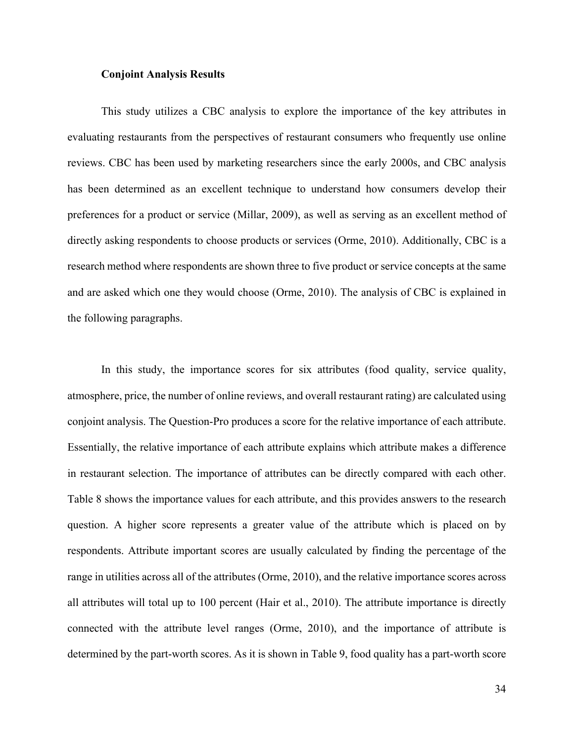### **Conjoint Analysis Results**

This study utilizes a CBC analysis to explore the importance of the key attributes in evaluating restaurants from the perspectives of restaurant consumers who frequently use online reviews. CBC has been used by marketing researchers since the early 2000s, and CBC analysis has been determined as an excellent technique to understand how consumers develop their preferences for a product or service (Millar, 2009), as well as serving as an excellent method of directly asking respondents to choose products or services (Orme, 2010). Additionally, CBC is a research method where respondents are shown three to five product or service concepts at the same and are asked which one they would choose (Orme, 2010). The analysis of CBC is explained in the following paragraphs.

In this study, the importance scores for six attributes (food quality, service quality, atmosphere, price, the number of online reviews, and overall restaurant rating) are calculated using conjoint analysis. The Question-Pro produces a score for the relative importance of each attribute. Essentially, the relative importance of each attribute explains which attribute makes a difference in restaurant selection. The importance of attributes can be directly compared with each other. Table 8 shows the importance values for each attribute, and this provides answers to the research question. A higher score represents a greater value of the attribute which is placed on by respondents. Attribute important scores are usually calculated by finding the percentage of the range in utilities across all of the attributes (Orme, 2010), and the relative importance scores across all attributes will total up to 100 percent (Hair et al., 2010). The attribute importance is directly connected with the attribute level ranges (Orme, 2010), and the importance of attribute is determined by the part-worth scores. As it is shown in Table 9, food quality has a part-worth score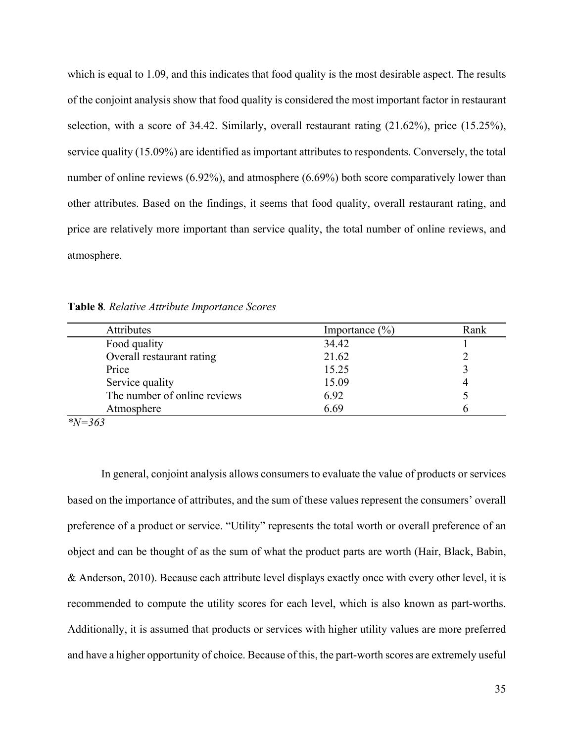which is equal to 1.09, and this indicates that food quality is the most desirable aspect. The results of the conjoint analysis show that food quality is considered the most important factor in restaurant selection, with a score of 34.42. Similarly, overall restaurant rating (21.62%), price (15.25%), service quality (15.09%) are identified as important attributes to respondents. Conversely, the total number of online reviews (6.92%), and atmosphere (6.69%) both score comparatively lower than other attributes. Based on the findings, it seems that food quality, overall restaurant rating, and price are relatively more important than service quality, the total number of online reviews, and atmosphere.

**Table 8***. Relative Attribute Importance Scores*

| Attributes                   | Importance $(\% )$ | Rank |
|------------------------------|--------------------|------|
| Food quality                 | 34.42              |      |
| Overall restaurant rating    | 21.62              |      |
| Price                        | 15.25              |      |
| Service quality              | 15.09              |      |
| The number of online reviews | 6.92               |      |
| Atmosphere                   | 6.69               |      |
| $\cdots$ $\cdots$            |                    |      |

#### *\*N=363*

In general, conjoint analysis allows consumers to evaluate the value of products or services based on the importance of attributes, and the sum of these values represent the consumers' overall preference of a product or service. "Utility" represents the total worth or overall preference of an object and can be thought of as the sum of what the product parts are worth (Hair, Black, Babin, & Anderson, 2010). Because each attribute level displays exactly once with every other level, it is recommended to compute the utility scores for each level, which is also known as part-worths. Additionally, it is assumed that products or services with higher utility values are more preferred and have a higher opportunity of choice. Because of this, the part-worth scores are extremely useful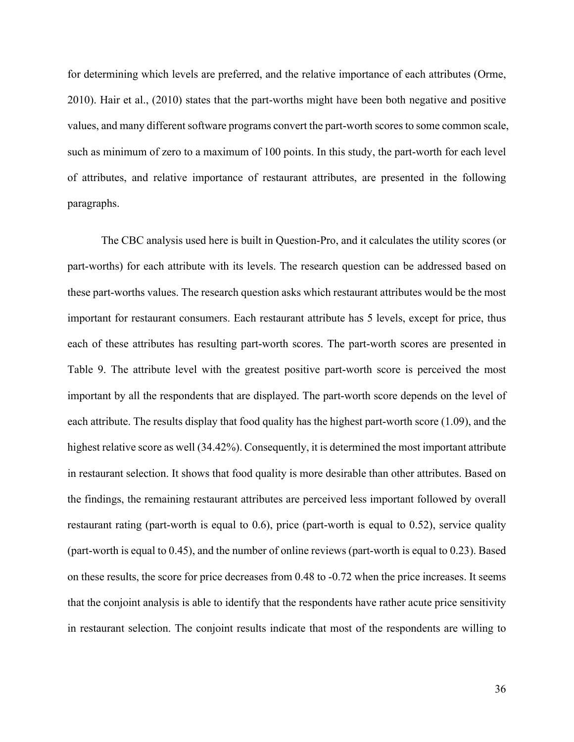for determining which levels are preferred, and the relative importance of each attributes (Orme, 2010). Hair et al., (2010) states that the part-worths might have been both negative and positive values, and many different software programs convert the part-worth scores to some common scale, such as minimum of zero to a maximum of 100 points. In this study, the part-worth for each level of attributes, and relative importance of restaurant attributes, are presented in the following paragraphs.

The CBC analysis used here is built in Question-Pro, and it calculates the utility scores (or part-worths) for each attribute with its levels. The research question can be addressed based on these part-worths values. The research question asks which restaurant attributes would be the most important for restaurant consumers. Each restaurant attribute has 5 levels, except for price, thus each of these attributes has resulting part-worth scores. The part-worth scores are presented in Table 9. The attribute level with the greatest positive part-worth score is perceived the most important by all the respondents that are displayed. The part-worth score depends on the level of each attribute. The results display that food quality has the highest part-worth score (1.09), and the highest relative score as well (34.42%). Consequently, it is determined the most important attribute in restaurant selection. It shows that food quality is more desirable than other attributes. Based on the findings, the remaining restaurant attributes are perceived less important followed by overall restaurant rating (part-worth is equal to 0.6), price (part-worth is equal to 0.52), service quality (part-worth is equal to 0.45), and the number of online reviews (part-worth is equal to 0.23). Based on these results, the score for price decreases from 0.48 to -0.72 when the price increases. It seems that the conjoint analysis is able to identify that the respondents have rather acute price sensitivity in restaurant selection. The conjoint results indicate that most of the respondents are willing to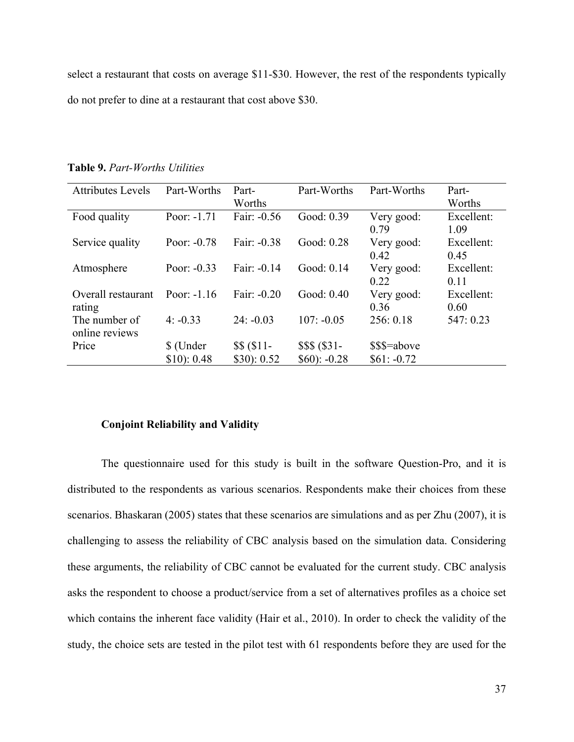select a restaurant that costs on average \$11-\$30. However, the rest of the respondents typically do not prefer to dine at a restaurant that cost above \$30.

| <b>Attributes Levels</b> | Part-Worths   | Part-              | Part-Worths   | Part-Worths  | Part-      |
|--------------------------|---------------|--------------------|---------------|--------------|------------|
|                          |               | Worths             |               |              | Worths     |
| Food quality             | Poor: $-1.71$ | Fair: -0.56        | Good: 0.39    | Very good:   | Excellent: |
|                          |               |                    |               | 0.79         | 1.09       |
| Service quality          | Poor: $-0.78$ | Fair: -0.38        | Good: 0.28    | Very good:   | Excellent: |
|                          |               |                    |               | 0.42         | 0.45       |
| Atmosphere               | Poor: $-0.33$ | Fair: -0.14        | Good: 0.14    | Very good:   | Excellent: |
|                          |               |                    |               | 0.22         | 0.11       |
| Overall restaurant       | Poor: $-1.16$ | Fair: -0.20        | Good: 0.40    | Very good:   | Excellent: |
| rating                   |               |                    |               | 0.36         | 0.60       |
| The number of            | $4: -0.33$    | $24: -0.03$        | $107: -0.05$  | 256: 0.18    | 547: 0.23  |
| online reviews           |               |                    |               |              |            |
| Price                    | \$ (Under     | $$ $ ( $ 11 - $ )$ | \$\$\$ (\$31- | \$\$\$=above |            |
|                          | \$10): 0.48   | \$30): 0.52        | $$60$ : -0.28 | $$61: -0.72$ |            |

**Table 9.** *Part-Worths Utilities*

#### **Conjoint Reliability and Validity**

The questionnaire used for this study is built in the software Question-Pro, and it is distributed to the respondents as various scenarios. Respondents make their choices from these scenarios. Bhaskaran (2005) states that these scenarios are simulations and as per Zhu (2007), it is challenging to assess the reliability of CBC analysis based on the simulation data. Considering these arguments, the reliability of CBC cannot be evaluated for the current study. CBC analysis asks the respondent to choose a product/service from a set of alternatives profiles as a choice set which contains the inherent face validity (Hair et al., 2010). In order to check the validity of the study, the choice sets are tested in the pilot test with 61 respondents before they are used for the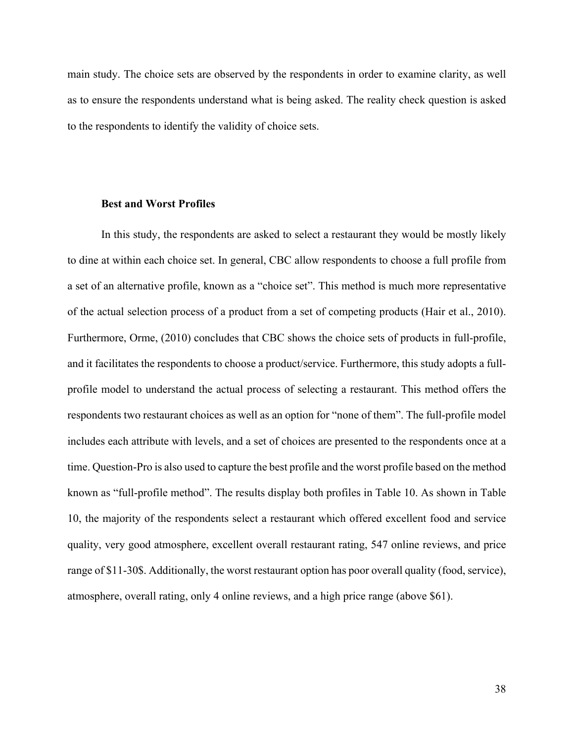main study. The choice sets are observed by the respondents in order to examine clarity, as well as to ensure the respondents understand what is being asked. The reality check question is asked to the respondents to identify the validity of choice sets.

### **Best and Worst Profiles**

In this study, the respondents are asked to select a restaurant they would be mostly likely to dine at within each choice set. In general, CBC allow respondents to choose a full profile from a set of an alternative profile, known as a "choice set". This method is much more representative of the actual selection process of a product from a set of competing products (Hair et al., 2010). Furthermore, Orme, (2010) concludes that CBC shows the choice sets of products in full-profile, and it facilitates the respondents to choose a product/service. Furthermore, this study adopts a fullprofile model to understand the actual process of selecting a restaurant. This method offers the respondents two restaurant choices as well as an option for "none of them". The full-profile model includes each attribute with levels, and a set of choices are presented to the respondents once at a time. Question-Pro is also used to capture the best profile and the worst profile based on the method known as "full-profile method". The results display both profiles in Table 10. As shown in Table 10, the majority of the respondents select a restaurant which offered excellent food and service quality, very good atmosphere, excellent overall restaurant rating, 547 online reviews, and price range of \$11-30\$. Additionally, the worst restaurant option has poor overall quality (food, service), atmosphere, overall rating, only 4 online reviews, and a high price range (above \$61).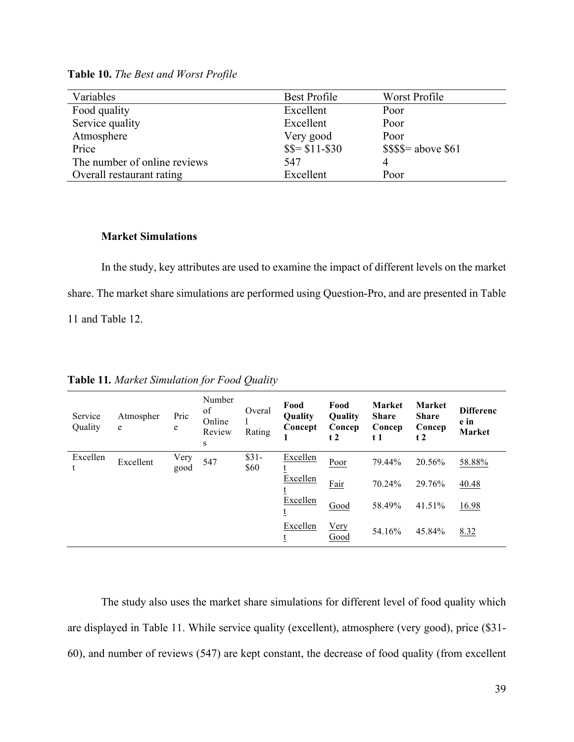| Variables                    | Best Profile     | Worst Profile          |
|------------------------------|------------------|------------------------|
| Food quality                 | Excellent        | Poor                   |
| Service quality              | Excellent        | Poor                   |
| Atmosphere                   | Very good        | Poor                   |
| Price                        | $$S = $11 - $30$ | $$$ \$\$\$= above \$61 |
| The number of online reviews | 547              | 4                      |
| Overall restaurant rating    | Excellent        | Poor                   |

**Table 10.** *The Best and Worst Profile*

### **Market Simulations**

In the study, key attributes are used to examine the impact of different levels on the market share. The market share simulations are performed using Question-Pro, and are presented in Table 11 and Table 12.

| Service<br>Quality | Atmospher<br>e | Pric<br>e    | Number<br>of<br>Online<br>Review<br>S | Overal<br>Rating | Food<br>Quality<br>Concept | Food<br>Quality<br>Concep<br>t2 | <b>Market</b><br><b>Share</b><br>Concep<br>t 1 | <b>Market</b><br><b>Share</b><br>Concep<br>t2 | <b>Differenc</b><br>e in<br><b>Market</b> |
|--------------------|----------------|--------------|---------------------------------------|------------------|----------------------------|---------------------------------|------------------------------------------------|-----------------------------------------------|-------------------------------------------|
| Excellen           | Excellent      | Very<br>good | 547                                   | $$31-$<br>\$60   | Excellen                   | Poor                            | 79.44%                                         | 20.56%                                        | 58.88%                                    |
|                    |                |              |                                       |                  | Excellen                   | Fair                            | 70.24%                                         | 29.76%                                        | 40.48                                     |
|                    |                |              |                                       |                  | Excellen                   | Good                            | 58.49%                                         | 41.51%                                        | 16.98                                     |
|                    |                |              |                                       |                  | Excellen                   | <b>Very</b><br>Good             | 54.16%                                         | 45.84%                                        | 8.32                                      |

**Table 11***. Market Simulation for Food Quality*

The study also uses the market share simulations for different level of food quality which are displayed in Table 11. While service quality (excellent), atmosphere (very good), price (\$31- 60), and number of reviews (547) are kept constant, the decrease of food quality (from excellent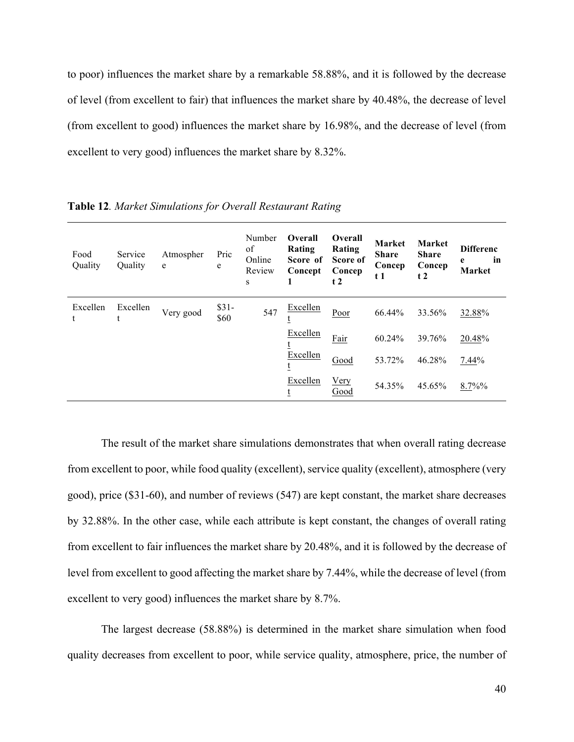to poor) influences the market share by a remarkable 58.88%, and it is followed by the decrease of level (from excellent to fair) that influences the market share by 40.48%, the decrease of level (from excellent to good) influences the market share by 16.98%, and the decrease of level (from excellent to very good) influences the market share by 8.32%.

| Food<br>Quality | Service<br>Quality | Atmospher<br>${\bf e}$ | Pric<br>e      | Number<br>of<br>Online<br>Review<br>S | Overall<br>Rating<br>Score of<br>Concept<br>1 | Overall<br>Rating<br>Score of<br>Concep<br>t2 | Market<br><b>Share</b><br>Concep<br>t 1 | Market<br><b>Share</b><br>Concep<br>t2 | <b>Differenc</b><br>in<br>e<br><b>Market</b> |
|-----------------|--------------------|------------------------|----------------|---------------------------------------|-----------------------------------------------|-----------------------------------------------|-----------------------------------------|----------------------------------------|----------------------------------------------|
| Excellen<br>t   | Excellen<br>t      | Very good              | $$31-$<br>\$60 | 547                                   | Excellen                                      | Poor                                          | 66.44%                                  | 33.56%                                 | 32.88%                                       |
|                 |                    |                        |                |                                       | Excellen                                      | Fair                                          | 60.24%                                  | 39.76%                                 | 20.48%                                       |
|                 |                    |                        |                |                                       | Excellen<br>t                                 | Good                                          | 53.72%                                  | 46.28%                                 | 7.44%                                        |
|                 |                    |                        |                |                                       | Excellen<br>t                                 | Very<br>Good                                  | 54.35%                                  | 45.65%                                 | 8.7%%                                        |

**Table 12***. Market Simulations for Overall Restaurant Rating*

The result of the market share simulations demonstrates that when overall rating decrease from excellent to poor, while food quality (excellent), service quality (excellent), atmosphere (very good), price (\$31-60), and number of reviews (547) are kept constant, the market share decreases by 32.88%. In the other case, while each attribute is kept constant, the changes of overall rating from excellent to fair influences the market share by 20.48%, and it is followed by the decrease of level from excellent to good affecting the market share by 7.44%, while the decrease of level (from excellent to very good) influences the market share by 8.7%.

The largest decrease (58.88%) is determined in the market share simulation when food quality decreases from excellent to poor, while service quality, atmosphere, price, the number of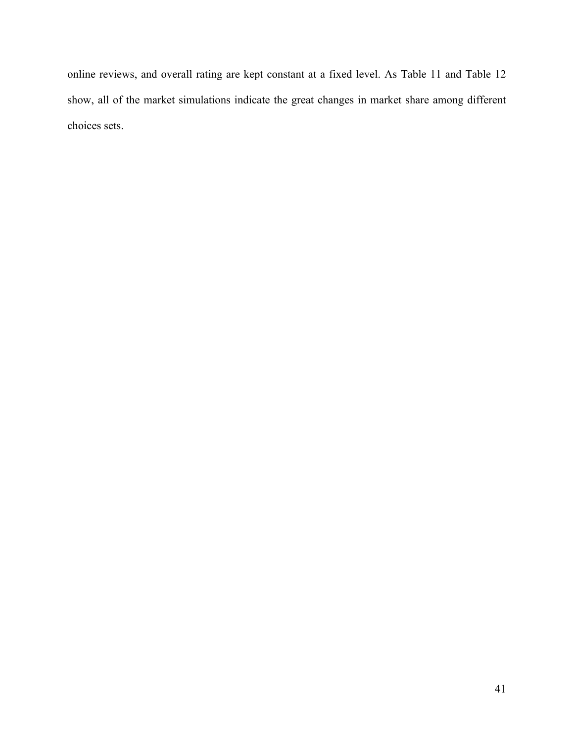online reviews, and overall rating are kept constant at a fixed level. As Table 11 and Table 12 show, all of the market simulations indicate the great changes in market share among different choices sets.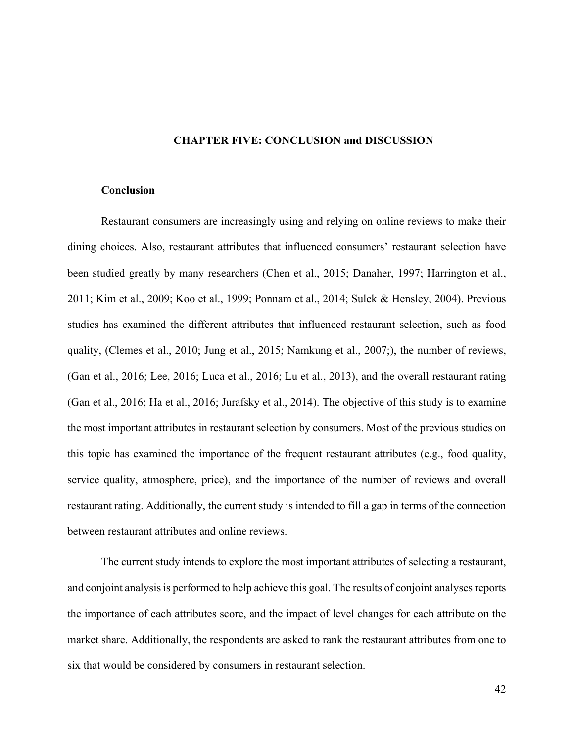### **CHAPTER FIVE: CONCLUSION and DISCUSSION**

#### **Conclusion**

Restaurant consumers are increasingly using and relying on online reviews to make their dining choices. Also, restaurant attributes that influenced consumers' restaurant selection have been studied greatly by many researchers (Chen et al., 2015; Danaher, 1997; Harrington et al., 2011; Kim et al., 2009; Koo et al., 1999; Ponnam et al., 2014; Sulek & Hensley, 2004). Previous studies has examined the different attributes that influenced restaurant selection, such as food quality, (Clemes et al., 2010; Jung et al., 2015; Namkung et al., 2007;), the number of reviews, (Gan et al., 2016; Lee, 2016; Luca et al., 2016; Lu et al., 2013), and the overall restaurant rating (Gan et al., 2016; Ha et al., 2016; Jurafsky et al., 2014). The objective of this study is to examine the most important attributes in restaurant selection by consumers. Most of the previous studies on this topic has examined the importance of the frequent restaurant attributes (e.g., food quality, service quality, atmosphere, price), and the importance of the number of reviews and overall restaurant rating. Additionally, the current study is intended to fill a gap in terms of the connection between restaurant attributes and online reviews.

The current study intends to explore the most important attributes of selecting a restaurant, and conjoint analysis is performed to help achieve this goal. The results of conjoint analyses reports the importance of each attributes score, and the impact of level changes for each attribute on the market share. Additionally, the respondents are asked to rank the restaurant attributes from one to six that would be considered by consumers in restaurant selection.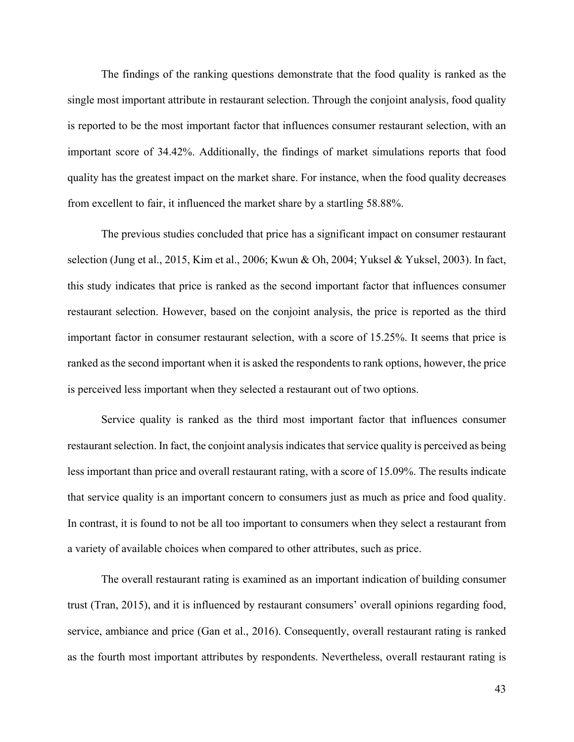The findings of the ranking questions demonstrate that the food quality is ranked as the single most important attribute in restaurant selection. Through the conjoint analysis, food quality is reported to be the most important factor that influences consumer restaurant selection, with an important score of 34.42%. Additionally, the findings of market simulations reports that food quality has the greatest impact on the market share. For instance, when the food quality decreases from excellent to fair, it influenced the market share by a startling 58.88%.

The previous studies concluded that price has a significant impact on consumer restaurant selection (Jung et al., 2015, Kim et al., 2006; Kwun & Oh, 2004; Yuksel & Yuksel, 2003). In fact, this study indicates that price is ranked as the second important factor that influences consumer restaurant selection. However, based on the conjoint analysis, the price is reported as the third important factor in consumer restaurant selection, with a score of 15.25%. It seems that price is ranked as the second important when it is asked the respondents to rank options, however, the price is perceived less important when they selected a restaurant out of two options.

Service quality is ranked as the third most important factor that influences consumer restaurant selection. In fact, the conjoint analysis indicates that service quality is perceived as being less important than price and overall restaurant rating, with a score of 15.09%. The results indicate that service quality is an important concern to consumers just as much as price and food quality. In contrast, it is found to not be all too important to consumers when they select a restaurant from a variety of available choices when compared to other attributes, such as price.

The overall restaurant rating is examined as an important indication of building consumer trust (Tran, 2015), and it is influenced by restaurant consumers' overall opinions regarding food, service, ambiance and price (Gan et al., 2016). Consequently, overall restaurant rating is ranked as the fourth most important attributes by respondents. Nevertheless, overall restaurant rating is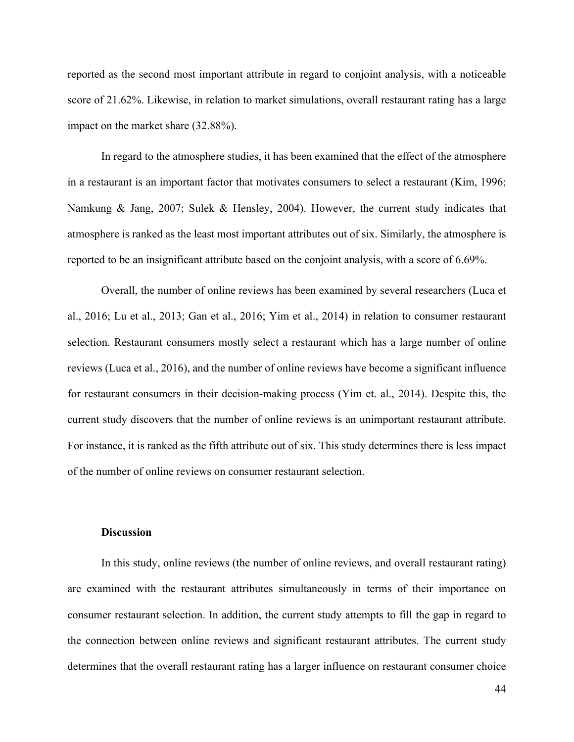reported as the second most important attribute in regard to conjoint analysis, with a noticeable score of 21.62%. Likewise, in relation to market simulations, overall restaurant rating has a large impact on the market share (32.88%).

In regard to the atmosphere studies, it has been examined that the effect of the atmosphere in a restaurant is an important factor that motivates consumers to select a restaurant (Kim, 1996; Namkung & Jang, 2007; Sulek & Hensley, 2004). However, the current study indicates that atmosphere is ranked as the least most important attributes out of six. Similarly, the atmosphere is reported to be an insignificant attribute based on the conjoint analysis, with a score of 6.69%.

Overall, the number of online reviews has been examined by several researchers (Luca et al., 2016; Lu et al., 2013; Gan et al., 2016; Yim et al., 2014) in relation to consumer restaurant selection. Restaurant consumers mostly select a restaurant which has a large number of online reviews (Luca et al., 2016), and the number of online reviews have become a significant influence for restaurant consumers in their decision-making process (Yim et. al., 2014). Despite this, the current study discovers that the number of online reviews is an unimportant restaurant attribute. For instance, it is ranked as the fifth attribute out of six. This study determines there is less impact of the number of online reviews on consumer restaurant selection.

#### **Discussion**

In this study, online reviews (the number of online reviews, and overall restaurant rating) are examined with the restaurant attributes simultaneously in terms of their importance on consumer restaurant selection. In addition, the current study attempts to fill the gap in regard to the connection between online reviews and significant restaurant attributes. The current study determines that the overall restaurant rating has a larger influence on restaurant consumer choice

44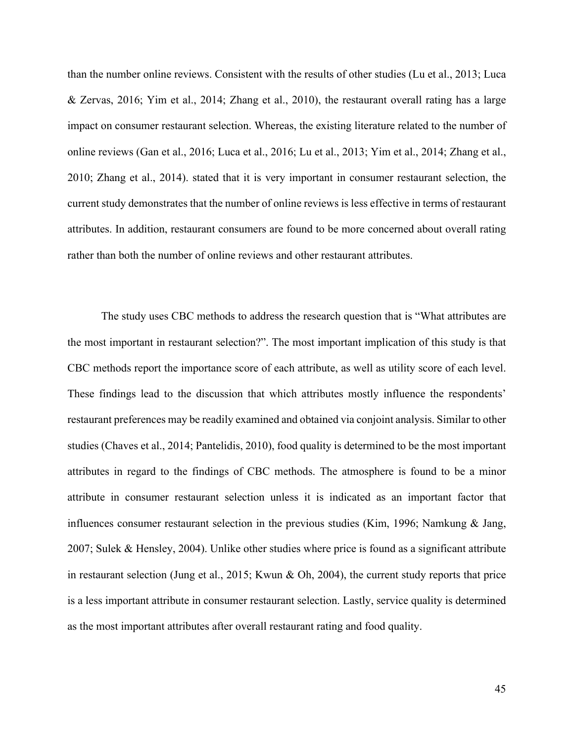than the number online reviews. Consistent with the results of other studies (Lu et al., 2013; Luca & Zervas, 2016; Yim et al., 2014; Zhang et al., 2010), the restaurant overall rating has a large impact on consumer restaurant selection. Whereas, the existing literature related to the number of online reviews (Gan et al., 2016; Luca et al., 2016; Lu et al., 2013; Yim et al., 2014; Zhang et al., 2010; Zhang et al., 2014). stated that it is very important in consumer restaurant selection, the current study demonstrates that the number of online reviews is less effective in terms of restaurant attributes. In addition, restaurant consumers are found to be more concerned about overall rating rather than both the number of online reviews and other restaurant attributes.

The study uses CBC methods to address the research question that is "What attributes are the most important in restaurant selection?". The most important implication of this study is that CBC methods report the importance score of each attribute, as well as utility score of each level. These findings lead to the discussion that which attributes mostly influence the respondents' restaurant preferences may be readily examined and obtained via conjoint analysis. Similar to other studies (Chaves et al., 2014; Pantelidis, 2010), food quality is determined to be the most important attributes in regard to the findings of CBC methods. The atmosphere is found to be a minor attribute in consumer restaurant selection unless it is indicated as an important factor that influences consumer restaurant selection in the previous studies (Kim, 1996; Namkung & Jang, 2007; Sulek & Hensley, 2004). Unlike other studies where price is found as a significant attribute in restaurant selection (Jung et al., 2015; Kwun & Oh, 2004), the current study reports that price is a less important attribute in consumer restaurant selection. Lastly, service quality is determined as the most important attributes after overall restaurant rating and food quality.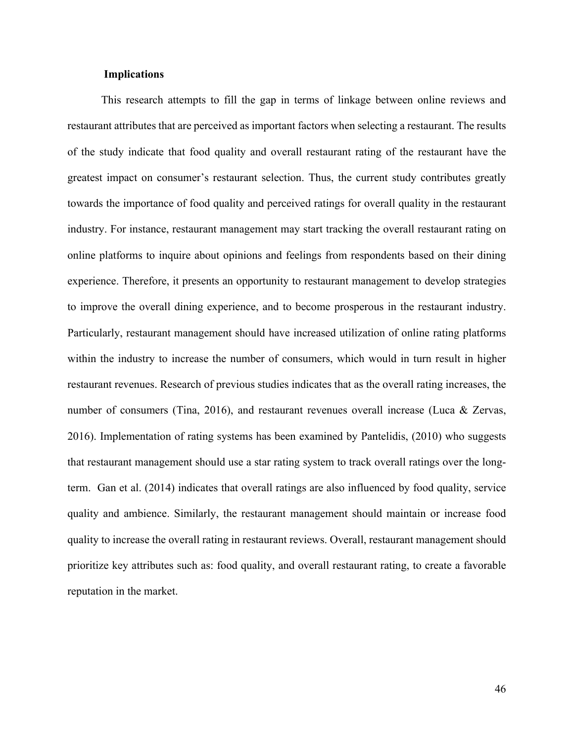## **Implications**

This research attempts to fill the gap in terms of linkage between online reviews and restaurant attributes that are perceived as important factors when selecting a restaurant. The results of the study indicate that food quality and overall restaurant rating of the restaurant have the greatest impact on consumer's restaurant selection. Thus, the current study contributes greatly towards the importance of food quality and perceived ratings for overall quality in the restaurant industry. For instance, restaurant management may start tracking the overall restaurant rating on online platforms to inquire about opinions and feelings from respondents based on their dining experience. Therefore, it presents an opportunity to restaurant management to develop strategies to improve the overall dining experience, and to become prosperous in the restaurant industry. Particularly, restaurant management should have increased utilization of online rating platforms within the industry to increase the number of consumers, which would in turn result in higher restaurant revenues. Research of previous studies indicates that as the overall rating increases, the number of consumers (Tina, 2016), and restaurant revenues overall increase (Luca & Zervas, 2016). Implementation of rating systems has been examined by Pantelidis, (2010) who suggests that restaurant management should use a star rating system to track overall ratings over the longterm. Gan et al. (2014) indicates that overall ratings are also influenced by food quality, service quality and ambience. Similarly, the restaurant management should maintain or increase food quality to increase the overall rating in restaurant reviews. Overall, restaurant management should prioritize key attributes such as: food quality, and overall restaurant rating, to create a favorable reputation in the market.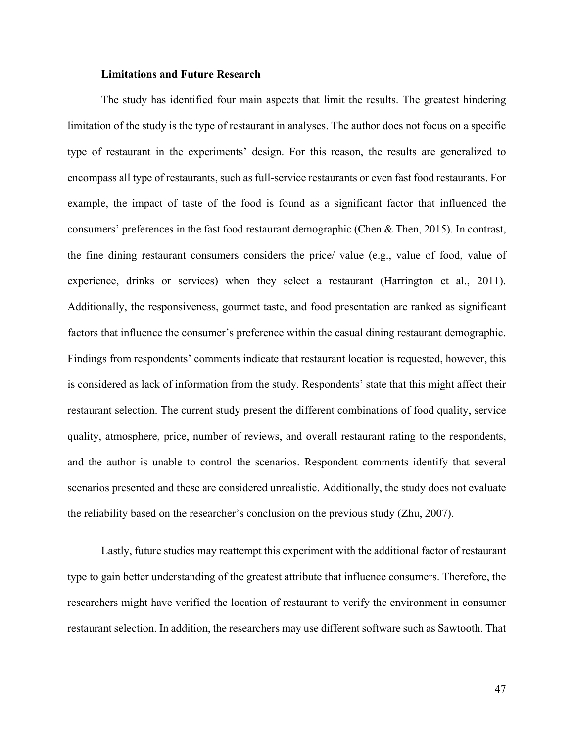### **Limitations and Future Research**

The study has identified four main aspects that limit the results. The greatest hindering limitation of the study is the type of restaurant in analyses. The author does not focus on a specific type of restaurant in the experiments' design. For this reason, the results are generalized to encompass all type of restaurants, such as full-service restaurants or even fast food restaurants. For example, the impact of taste of the food is found as a significant factor that influenced the consumers' preferences in the fast food restaurant demographic (Chen & Then, 2015). In contrast, the fine dining restaurant consumers considers the price/ value (e.g., value of food, value of experience, drinks or services) when they select a restaurant (Harrington et al., 2011). Additionally, the responsiveness, gourmet taste, and food presentation are ranked as significant factors that influence the consumer's preference within the casual dining restaurant demographic. Findings from respondents' comments indicate that restaurant location is requested, however, this is considered as lack of information from the study. Respondents' state that this might affect their restaurant selection. The current study present the different combinations of food quality, service quality, atmosphere, price, number of reviews, and overall restaurant rating to the respondents, and the author is unable to control the scenarios. Respondent comments identify that several scenarios presented and these are considered unrealistic. Additionally, the study does not evaluate the reliability based on the researcher's conclusion on the previous study (Zhu, 2007).

Lastly, future studies may reattempt this experiment with the additional factor of restaurant type to gain better understanding of the greatest attribute that influence consumers. Therefore, the researchers might have verified the location of restaurant to verify the environment in consumer restaurant selection. In addition, the researchers may use different software such as Sawtooth. That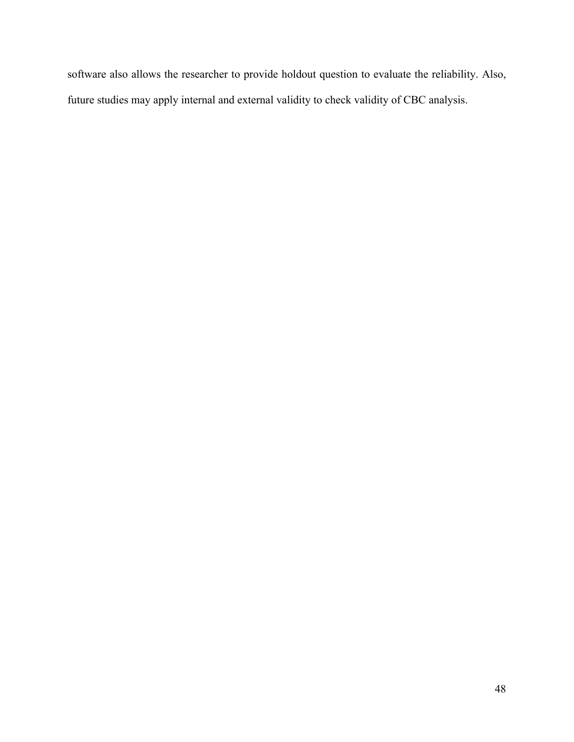software also allows the researcher to provide holdout question to evaluate the reliability. Also, future studies may apply internal and external validity to check validity of CBC analysis.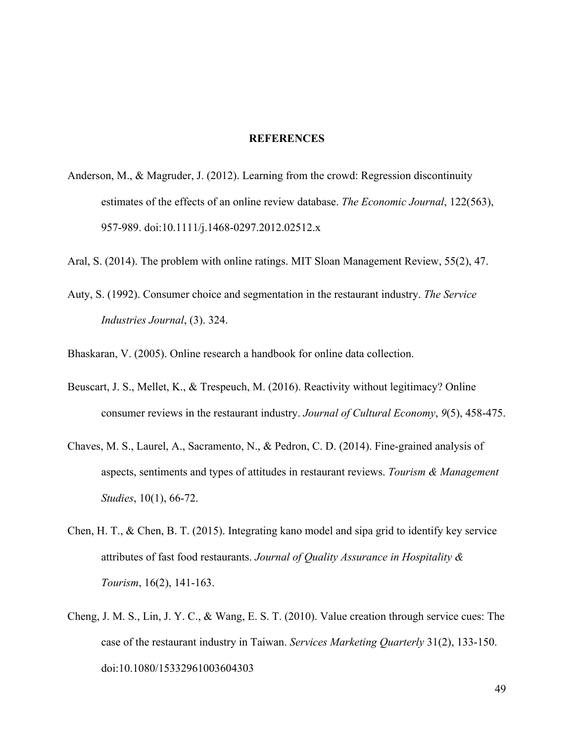### **REFERENCES**

- Anderson, M., & Magruder, J. (2012). Learning from the crowd: Regression discontinuity estimates of the effects of an online review database. *The Economic Journal*, 122(563), 957-989. doi:10.1111/j.1468-0297.2012.02512.x
- Aral, S. (2014). The problem with online ratings. MIT Sloan Management Review, 55(2), 47.
- Auty, S. (1992). Consumer choice and segmentation in the restaurant industry. *The Service Industries Journal*, (3). 324.

Bhaskaran, V. (2005). Online research a handbook for online data collection.

- Beuscart, J. S., Mellet, K., & Trespeuch, M. (2016). Reactivity without legitimacy? Online consumer reviews in the restaurant industry. *Journal of Cultural Economy*, *9*(5), 458-475.
- Chaves, M. S., Laurel, A., Sacramento, N., & Pedron, C. D. (2014). Fine-grained analysis of aspects, sentiments and types of attitudes in restaurant reviews. *Tourism & Management Studies*, 10(1), 66-72.
- Chen, H. T., & Chen, B. T. (2015). Integrating kano model and sipa grid to identify key service attributes of fast food restaurants. *Journal of Quality Assurance in Hospitality & Tourism*, 16(2), 141-163.
- Cheng, J. M. S., Lin, J. Y. C., & Wang, E. S. T. (2010). Value creation through service cues: The case of the restaurant industry in Taiwan. *Services Marketing Quarterly* 31(2), 133-150. doi:10.1080/15332961003604303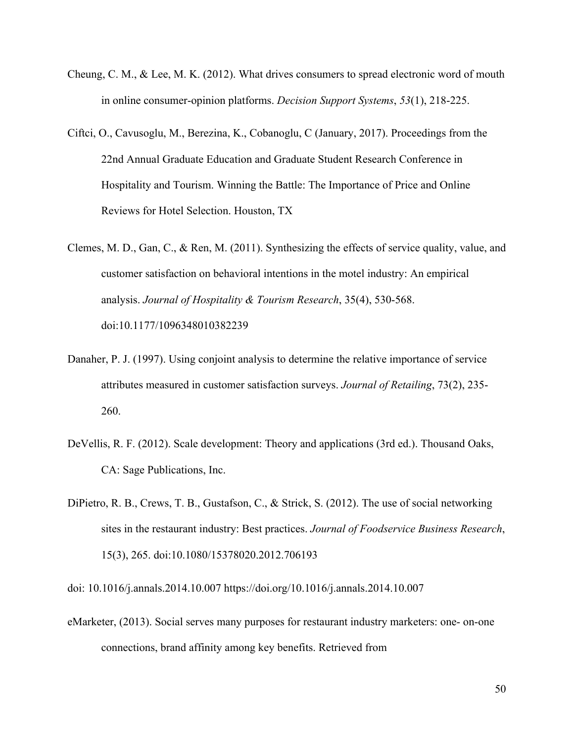- Cheung, C. M., & Lee, M. K. (2012). What drives consumers to spread electronic word of mouth in online consumer-opinion platforms. *Decision Support Systems*, *53*(1), 218-225.
- Ciftci, O., Cavusoglu, M., Berezina, K., Cobanoglu, C (January, 2017). Proceedings from the 22nd Annual Graduate Education and Graduate Student Research Conference in Hospitality and Tourism. Winning the Battle: The Importance of Price and Online Reviews for Hotel Selection. Houston, TX
- Clemes, M. D., Gan, C., & Ren, M. (2011). Synthesizing the effects of service quality, value, and customer satisfaction on behavioral intentions in the motel industry: An empirical analysis. *Journal of Hospitality & Tourism Research*, 35(4), 530-568. doi:10.1177/1096348010382239
- Danaher, P. J. (1997). Using conjoint analysis to determine the relative importance of service attributes measured in customer satisfaction surveys. *Journal of Retailing*, 73(2), 235- 260.
- DeVellis, R. F. (2012). Scale development: Theory and applications (3rd ed.). Thousand Oaks, CA: Sage Publications, Inc.
- DiPietro, R. B., Crews, T. B., Gustafson, C., & Strick, S. (2012). The use of social networking sites in the restaurant industry: Best practices. *Journal of Foodservice Business Research*, 15(3), 265. doi:10.1080/15378020.2012.706193

doi: 10.1016/j.annals.2014.10.007 https://doi.org/10.1016/j.annals.2014.10.007

eMarketer, (2013). Social serves many purposes for restaurant industry marketers: one- on-one connections, brand affinity among key benefits. Retrieved from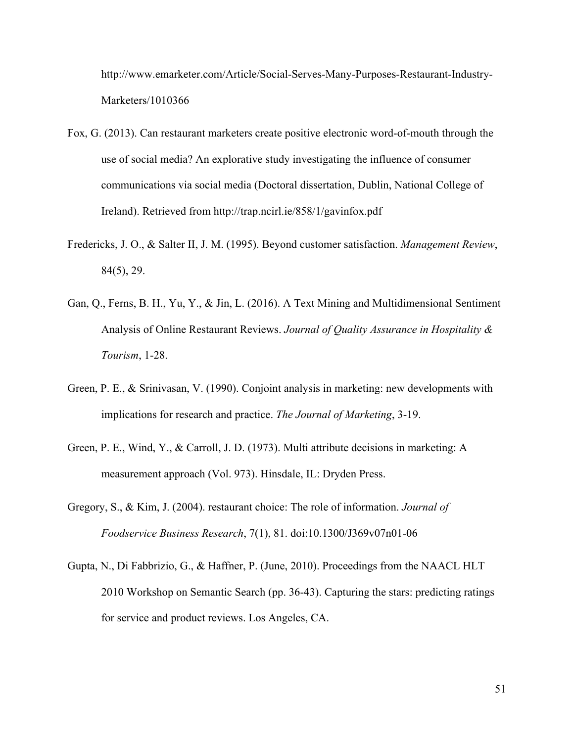http://www.emarketer.com/Article/Social-Serves-Many-Purposes-Restaurant-Industry-Marketers/1010366

- Fox, G. (2013). Can restaurant marketers create positive electronic word-of-mouth through the use of social media? An explorative study investigating the influence of consumer communications via social media (Doctoral dissertation, Dublin, National College of Ireland). Retrieved from http://trap.ncirl.ie/858/1/gavinfox.pdf
- Fredericks, J. O., & Salter II, J. M. (1995). Beyond customer satisfaction. *Management Review*, 84(5), 29.
- Gan, Q., Ferns, B. H., Yu, Y., & Jin, L. (2016). A Text Mining and Multidimensional Sentiment Analysis of Online Restaurant Reviews. *Journal of Quality Assurance in Hospitality & Tourism*, 1-28.
- Green, P. E., & Srinivasan, V. (1990). Conjoint analysis in marketing: new developments with implications for research and practice. *The Journal of Marketing*, 3-19.
- Green, P. E., Wind, Y., & Carroll, J. D. (1973). Multi attribute decisions in marketing: A measurement approach (Vol. 973). Hinsdale, IL: Dryden Press.
- Gregory, S., & Kim, J. (2004). restaurant choice: The role of information. *Journal of Foodservice Business Research*, 7(1), 81. doi:10.1300/J369v07n01-06
- Gupta, N., Di Fabbrizio, G., & Haffner, P. (June, 2010). Proceedings from the NAACL HLT 2010 Workshop on Semantic Search (pp. 36-43). Capturing the stars: predicting ratings for service and product reviews. Los Angeles, CA.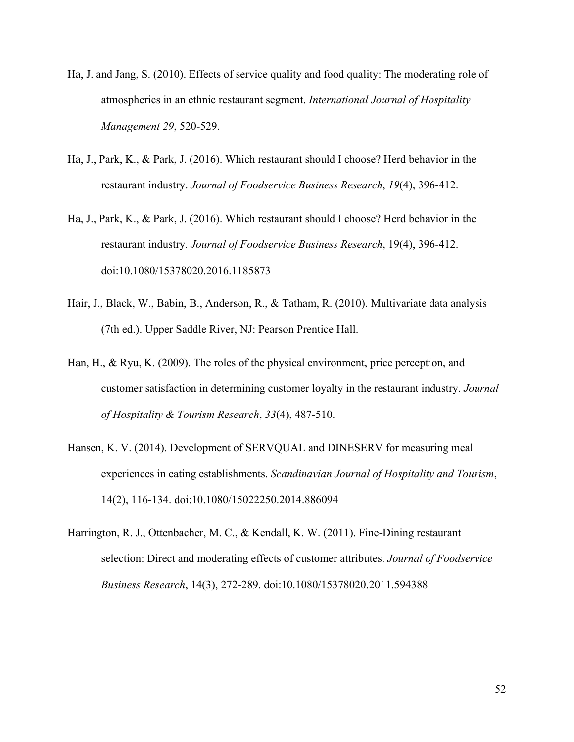- Ha, J. and Jang, S. (2010). Effects of service quality and food quality: The moderating role of atmospherics in an ethnic restaurant segment. *International Journal of Hospitality Management 29*, 520-529.
- Ha, J., Park, K., & Park, J. (2016). Which restaurant should I choose? Herd behavior in the restaurant industry. *Journal of Foodservice Business Research*, *19*(4), 396-412.
- Ha, J., Park, K., & Park, J. (2016). Which restaurant should I choose? Herd behavior in the restaurant industry*. Journal of Foodservice Business Research*, 19(4), 396-412. doi:10.1080/15378020.2016.1185873
- Hair, J., Black, W., Babin, B., Anderson, R., & Tatham, R. (2010). Multivariate data analysis (7th ed.). Upper Saddle River, NJ: Pearson Prentice Hall.
- Han, H., & Ryu, K. (2009). The roles of the physical environment, price perception, and customer satisfaction in determining customer loyalty in the restaurant industry. *Journal of Hospitality & Tourism Research*, *33*(4), 487-510.
- Hansen, K. V. (2014). Development of SERVQUAL and DINESERV for measuring meal experiences in eating establishments. *Scandinavian Journal of Hospitality and Tourism*, 14(2), 116-134. doi:10.1080/15022250.2014.886094
- Harrington, R. J., Ottenbacher, M. C., & Kendall, K. W. (2011). Fine-Dining restaurant selection: Direct and moderating effects of customer attributes. *Journal of Foodservice Business Research*, 14(3), 272-289. doi:10.1080/15378020.2011.594388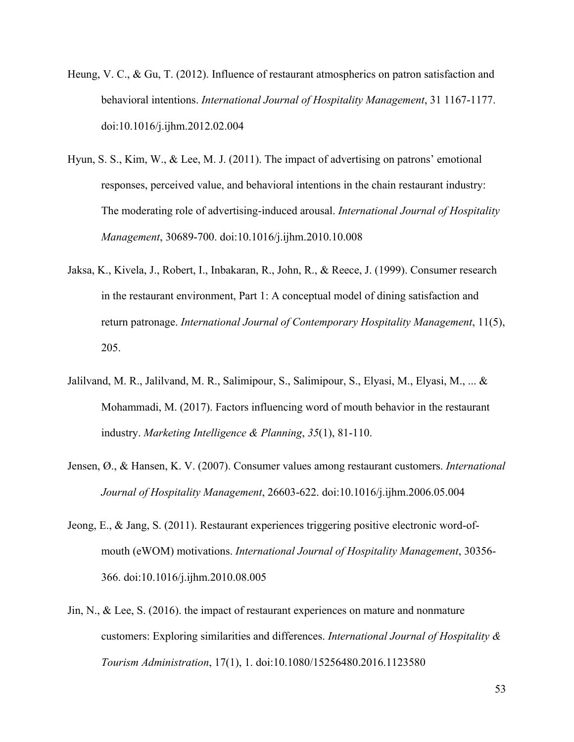- Heung, V. C., & Gu, T. (2012). Influence of restaurant atmospherics on patron satisfaction and behavioral intentions. *International Journal of Hospitality Management*, 31 1167-1177. doi:10.1016/j.ijhm.2012.02.004
- Hyun, S. S., Kim, W., & Lee, M. J. (2011). The impact of advertising on patrons' emotional responses, perceived value, and behavioral intentions in the chain restaurant industry: The moderating role of advertising-induced arousal. *International Journal of Hospitality Management*, 30689-700. doi:10.1016/j.ijhm.2010.10.008
- Jaksa, K., Kivela, J., Robert, I., Inbakaran, R., John, R., & Reece, J. (1999). Consumer research in the restaurant environment, Part 1: A conceptual model of dining satisfaction and return patronage. *International Journal of Contemporary Hospitality Management*, 11(5), 205.
- Jalilvand, M. R., Jalilvand, M. R., Salimipour, S., Salimipour, S., Elyasi, M., Elyasi, M., ... & Mohammadi, M. (2017). Factors influencing word of mouth behavior in the restaurant industry. *Marketing Intelligence & Planning*, *35*(1), 81-110.
- Jensen, Ø., & Hansen, K. V. (2007). Consumer values among restaurant customers. *International Journal of Hospitality Management*, 26603-622. doi:10.1016/j.ijhm.2006.05.004
- Jeong, E., & Jang, S. (2011). Restaurant experiences triggering positive electronic word-ofmouth (eWOM) motivations. *International Journal of Hospitality Management*, 30356- 366. doi:10.1016/j.ijhm.2010.08.005
- Jin, N., & Lee, S. (2016). the impact of restaurant experiences on mature and nonmature customers: Exploring similarities and differences. *International Journal of Hospitality & Tourism Administration*, 17(1), 1. doi:10.1080/15256480.2016.1123580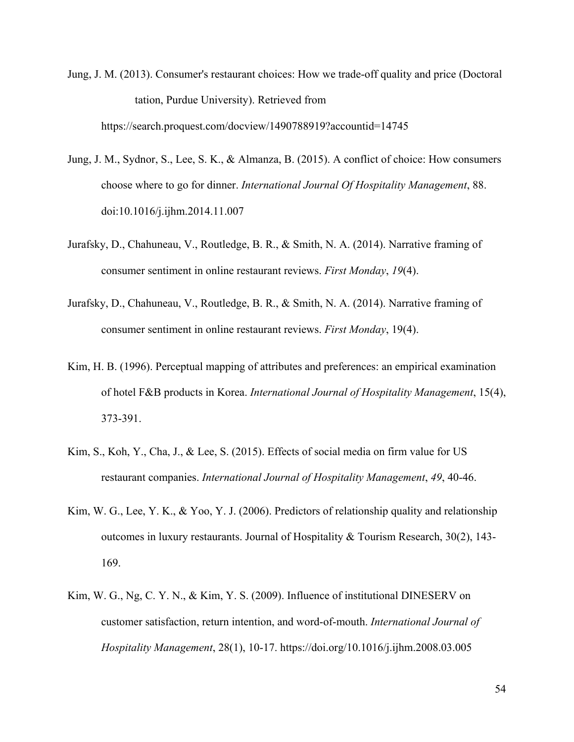- Jung, J. M. (2013). Consumer's restaurant choices: How we trade-off quality and price (Doctoral tation, Purdue University). Retrieved from https://search.proquest.com/docview/1490788919?accountid=14745
- Jung, J. M., Sydnor, S., Lee, S. K., & Almanza, B. (2015). A conflict of choice: How consumers choose where to go for dinner. *International Journal Of Hospitality Management*, 88. doi:10.1016/j.ijhm.2014.11.007
- Jurafsky, D., Chahuneau, V., Routledge, B. R., & Smith, N. A. (2014). Narrative framing of consumer sentiment in online restaurant reviews. *First Monday*, *19*(4).
- Jurafsky, D., Chahuneau, V., Routledge, B. R., & Smith, N. A. (2014). Narrative framing of consumer sentiment in online restaurant reviews. *First Monday*, 19(4).
- Kim, H. B. (1996). Perceptual mapping of attributes and preferences: an empirical examination of hotel F&B products in Korea. *International Journal of Hospitality Management*, 15(4), 373-391.
- Kim, S., Koh, Y., Cha, J., & Lee, S. (2015). Effects of social media on firm value for US restaurant companies. *International Journal of Hospitality Management*, *49*, 40-46.
- Kim, W. G., Lee, Y. K., & Yoo, Y. J. (2006). Predictors of relationship quality and relationship outcomes in luxury restaurants. Journal of Hospitality  $\&$  Tourism Research, 30(2), 143-169.
- Kim, W. G., Ng, C. Y. N., & Kim, Y. S. (2009). Influence of institutional DINESERV on customer satisfaction, return intention, and word-of-mouth. *International Journal of Hospitality Management*, 28(1), 10-17. https://doi.org/10.1016/j.ijhm.2008.03.005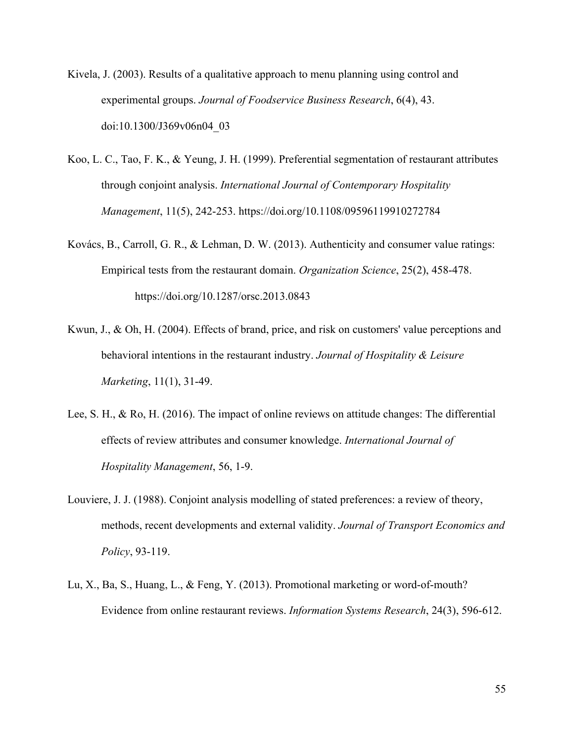- Kivela, J. (2003). Results of a qualitative approach to menu planning using control and experimental groups. *Journal of Foodservice Business Research*, 6(4), 43. doi:10.1300/J369v06n04\_03
- Koo, L. C., Tao, F. K., & Yeung, J. H. (1999). Preferential segmentation of restaurant attributes through conjoint analysis. *International Journal of Contemporary Hospitality Management*, 11(5), 242-253. https://doi.org/10.1108/09596119910272784
- Kovács, B., Carroll, G. R., & Lehman, D. W. (2013). Authenticity and consumer value ratings: Empirical tests from the restaurant domain. *Organization Science*, 25(2), 458-478. https://doi.org/10.1287/orsc.2013.0843
- Kwun, J., & Oh, H. (2004). Effects of brand, price, and risk on customers' value perceptions and behavioral intentions in the restaurant industry. *Journal of Hospitality & Leisure Marketing*, 11(1), 31-49.
- Lee, S. H., & Ro, H. (2016). The impact of online reviews on attitude changes: The differential effects of review attributes and consumer knowledge. *International Journal of Hospitality Management*, 56, 1-9.
- Louviere, J. J. (1988). Conjoint analysis modelling of stated preferences: a review of theory, methods, recent developments and external validity. *Journal of Transport Economics and Policy*, 93-119.
- Lu, X., Ba, S., Huang, L., & Feng, Y. (2013). Promotional marketing or word-of-mouth? Evidence from online restaurant reviews. *Information Systems Research*, 24(3), 596-612.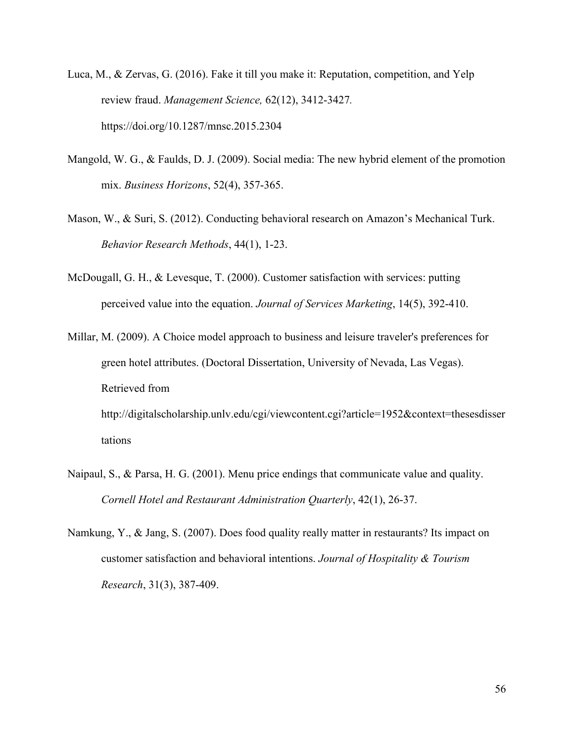- Luca, M., & Zervas, G. (2016). Fake it till you make it: Reputation, competition, and Yelp review fraud. *Management Science,* 62(12), 3412-3427*.* https://doi.org/10.1287/mnsc.2015.2304
- Mangold, W. G., & Faulds, D. J. (2009). Social media: The new hybrid element of the promotion mix. *Business Horizons*, 52(4), 357-365.
- Mason, W., & Suri, S. (2012). Conducting behavioral research on Amazon's Mechanical Turk. *Behavior Research Methods*, 44(1), 1-23.
- McDougall, G. H., & Levesque, T. (2000). Customer satisfaction with services: putting perceived value into the equation. *Journal of Services Marketing*, 14(5), 392-410.
- Millar, M. (2009). A Choice model approach to business and leisure traveler's preferences for green hotel attributes. (Doctoral Dissertation, University of Nevada, Las Vegas). Retrieved from http://digitalscholarship.unlv.edu/cgi/viewcontent.cgi?article=1952&context=thesesdisser tations
- Naipaul, S., & Parsa, H. G. (2001). Menu price endings that communicate value and quality. *Cornell Hotel and Restaurant Administration Quarterly*, 42(1), 26-37.
- Namkung, Y., & Jang, S. (2007). Does food quality really matter in restaurants? Its impact on customer satisfaction and behavioral intentions. *Journal of Hospitality & Tourism Research*, 31(3), 387-409.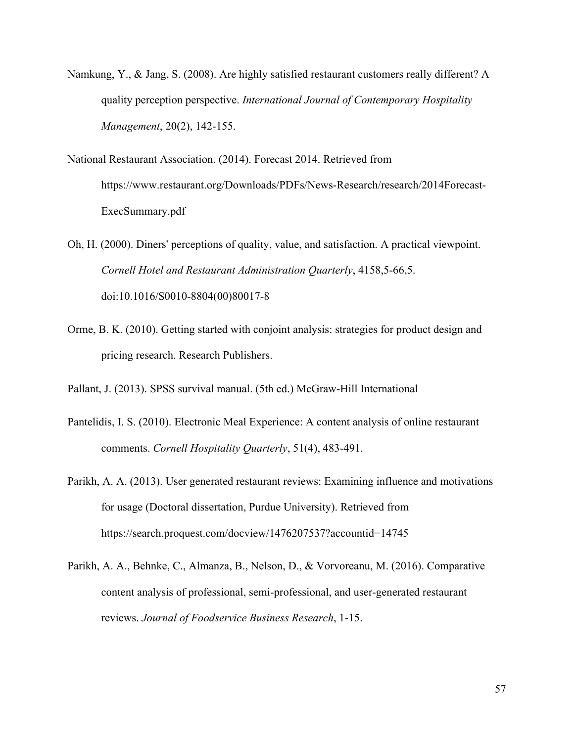- Namkung, Y., & Jang, S. (2008). Are highly satisfied restaurant customers really different? A quality perception perspective. *International Journal of Contemporary Hospitality Management*, 20(2), 142-155.
- National Restaurant Association. (2014). Forecast 2014. Retrieved from https://www.restaurant.org/Downloads/PDFs/News-Research/research/2014Forecast-ExecSummary.pdf
- Oh, H. (2000). Diners' perceptions of quality, value, and satisfaction. A practical viewpoint. *Cornell Hotel and Restaurant Administration Quarterly*, 4158,5-66,5. doi:10.1016/S0010-8804(00)80017-8
- Orme, B. K. (2010). Getting started with conjoint analysis: strategies for product design and pricing research. Research Publishers.
- Pallant, J. (2013). SPSS survival manual. (5th ed.) McGraw-Hill International
- Pantelidis, I. S. (2010). Electronic Meal Experience: A content analysis of online restaurant comments. *Cornell Hospitality Quarterly*, 51(4), 483-491.
- Parikh, A. A. (2013). User generated restaurant reviews: Examining influence and motivations for usage (Doctoral dissertation, Purdue University). Retrieved from https://search.proquest.com/docview/1476207537?accountid=14745
- Parikh, A. A., Behnke, C., Almanza, B., Nelson, D., & Vorvoreanu, M. (2016). Comparative content analysis of professional, semi-professional, and user-generated restaurant reviews. *Journal of Foodservice Business Research*, 1-15.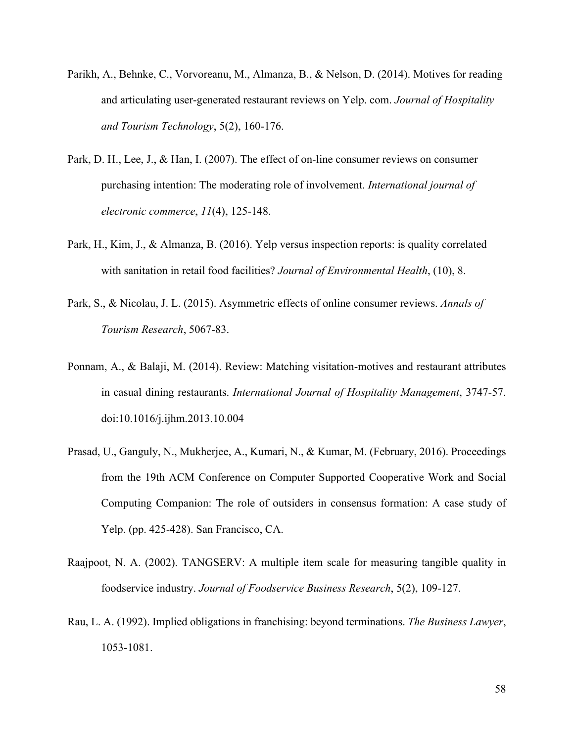- Parikh, A., Behnke, C., Vorvoreanu, M., Almanza, B., & Nelson, D. (2014). Motives for reading and articulating user-generated restaurant reviews on Yelp. com. *Journal of Hospitality and Tourism Technology*, 5(2), 160-176.
- Park, D. H., Lee, J., & Han, I. (2007). The effect of on-line consumer reviews on consumer purchasing intention: The moderating role of involvement. *International journal of electronic commerce*, *11*(4), 125-148.
- Park, H., Kim, J., & Almanza, B. (2016). Yelp versus inspection reports: is quality correlated with sanitation in retail food facilities? *Journal of Environmental Health*, (10), 8.
- Park, S., & Nicolau, J. L. (2015). Asymmetric effects of online consumer reviews. *Annals of Tourism Research*, 5067-83.
- Ponnam, A., & Balaji, M. (2014). Review: Matching visitation-motives and restaurant attributes in casual dining restaurants. *International Journal of Hospitality Management*, 3747-57. doi:10.1016/j.ijhm.2013.10.004
- Prasad, U., Ganguly, N., Mukherjee, A., Kumari, N., & Kumar, M. (February, 2016). Proceedings from the 19th ACM Conference on Computer Supported Cooperative Work and Social Computing Companion: The role of outsiders in consensus formation: A case study of Yelp. (pp. 425-428). San Francisco, CA.
- Raajpoot, N. A. (2002). TANGSERV: A multiple item scale for measuring tangible quality in foodservice industry. *Journal of Foodservice Business Research*, 5(2), 109-127.
- Rau, L. A. (1992). Implied obligations in franchising: beyond terminations. *The Business Lawyer*, 1053-1081.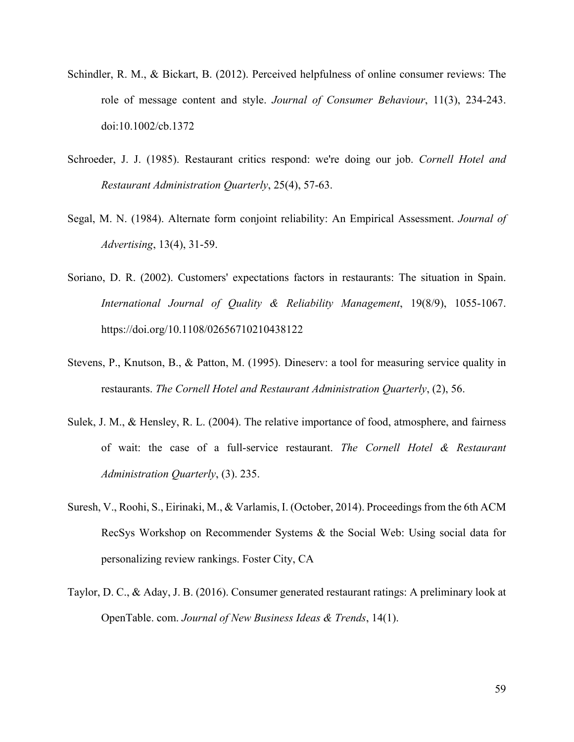- Schindler, R. M., & Bickart, B. (2012). Perceived helpfulness of online consumer reviews: The role of message content and style. *Journal of Consumer Behaviour*, 11(3), 234-243. doi:10.1002/cb.1372
- Schroeder, J. J. (1985). Restaurant critics respond: we're doing our job. *Cornell Hotel and Restaurant Administration Quarterly*, 25(4), 57-63.
- Segal, M. N. (1984). Alternate form conjoint reliability: An Empirical Assessment. *Journal of Advertising*, 13(4), 31-59.
- Soriano, D. R. (2002). Customers' expectations factors in restaurants: The situation in Spain. *International Journal of Quality & Reliability Management*, 19(8/9), 1055-1067. https://doi.org/10.1108/02656710210438122
- Stevens, P., Knutson, B., & Patton, M. (1995). Dineserv: a tool for measuring service quality in restaurants. *The Cornell Hotel and Restaurant Administration Quarterly*, (2), 56.
- Sulek, J. M., & Hensley, R. L. (2004). The relative importance of food, atmosphere, and fairness of wait: the case of a full-service restaurant. *The Cornell Hotel & Restaurant Administration Quarterly*, (3). 235.
- Suresh, V., Roohi, S., Eirinaki, M., & Varlamis, I. (October, 2014). Proceedings from the 6th ACM RecSys Workshop on Recommender Systems & the Social Web: Using social data for personalizing review rankings. Foster City, CA
- Taylor, D. C., & Aday, J. B. (2016). Consumer generated restaurant ratings: A preliminary look at OpenTable. com. *Journal of New Business Ideas & Trends*, 14(1).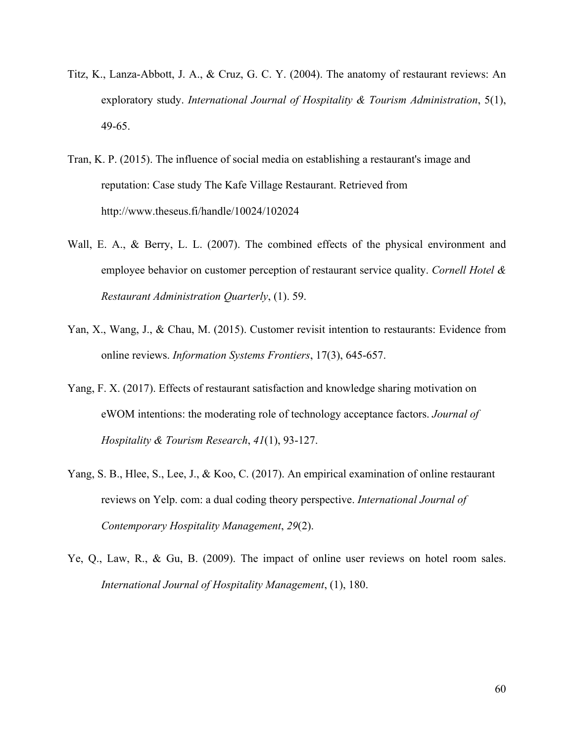- Titz, K., Lanza-Abbott, J. A., & Cruz, G. C. Y. (2004). The anatomy of restaurant reviews: An exploratory study. *International Journal of Hospitality & Tourism Administration*, 5(1), 49-65.
- Tran, K. P. (2015). The influence of social media on establishing a restaurant's image and reputation: Case study The Kafe Village Restaurant. Retrieved from http://www.theseus.fi/handle/10024/102024
- Wall, E. A., & Berry, L. L. (2007). The combined effects of the physical environment and employee behavior on customer perception of restaurant service quality. *Cornell Hotel & Restaurant Administration Quarterly*, (1). 59.
- Yan, X., Wang, J., & Chau, M. (2015). Customer revisit intention to restaurants: Evidence from online reviews. *Information Systems Frontiers*, 17(3), 645-657.
- Yang, F. X. (2017). Effects of restaurant satisfaction and knowledge sharing motivation on eWOM intentions: the moderating role of technology acceptance factors. *Journal of Hospitality & Tourism Research*, *41*(1), 93-127.
- Yang, S. B., Hlee, S., Lee, J., & Koo, C. (2017). An empirical examination of online restaurant reviews on Yelp. com: a dual coding theory perspective. *International Journal of Contemporary Hospitality Management*, *29*(2).
- Ye, Q., Law, R., & Gu, B. (2009). The impact of online user reviews on hotel room sales. *International Journal of Hospitality Management*, (1), 180.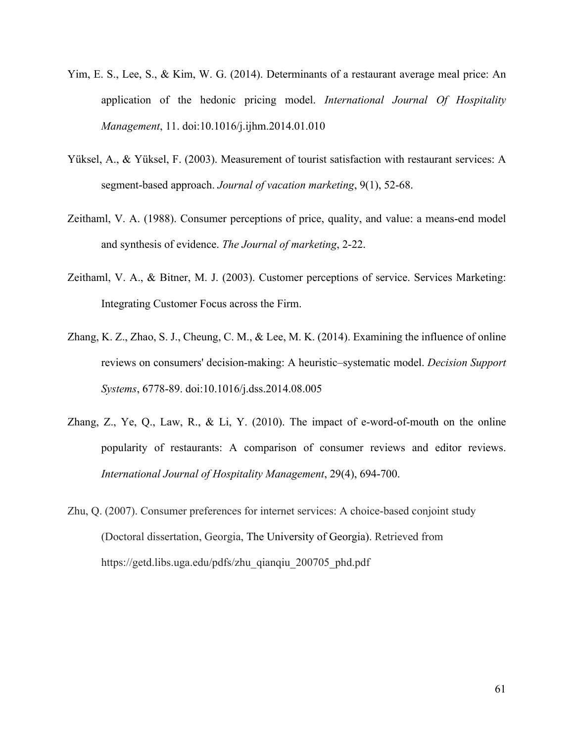- Yim, E. S., Lee, S., & Kim, W. G. (2014). Determinants of a restaurant average meal price: An application of the hedonic pricing model. *International Journal Of Hospitality Management*, 11. doi:10.1016/j.ijhm.2014.01.010
- Yüksel, A., & Yüksel, F. (2003). Measurement of tourist satisfaction with restaurant services: A segment-based approach. *Journal of vacation marketing*, 9(1), 52-68.
- Zeithaml, V. A. (1988). Consumer perceptions of price, quality, and value: a means-end model and synthesis of evidence. *The Journal of marketing*, 2-22.
- Zeithaml, V. A., & Bitner, M. J. (2003). Customer perceptions of service. Services Marketing: Integrating Customer Focus across the Firm.
- Zhang, K. Z., Zhao, S. J., Cheung, C. M., & Lee, M. K. (2014). Examining the influence of online reviews on consumers' decision-making: A heuristic–systematic model. *Decision Support Systems*, 6778-89. doi:10.1016/j.dss.2014.08.005
- Zhang, Z., Ye, Q., Law, R., & Li, Y. (2010). The impact of e-word-of-mouth on the online popularity of restaurants: A comparison of consumer reviews and editor reviews. *International Journal of Hospitality Management*, 29(4), 694-700.
- Zhu, Q. (2007). Consumer preferences for internet services: A choice-based conjoint study (Doctoral dissertation, Georgia, The University of Georgia). Retrieved from https://getd.libs.uga.edu/pdfs/zhu\_qianqiu\_200705\_phd.pdf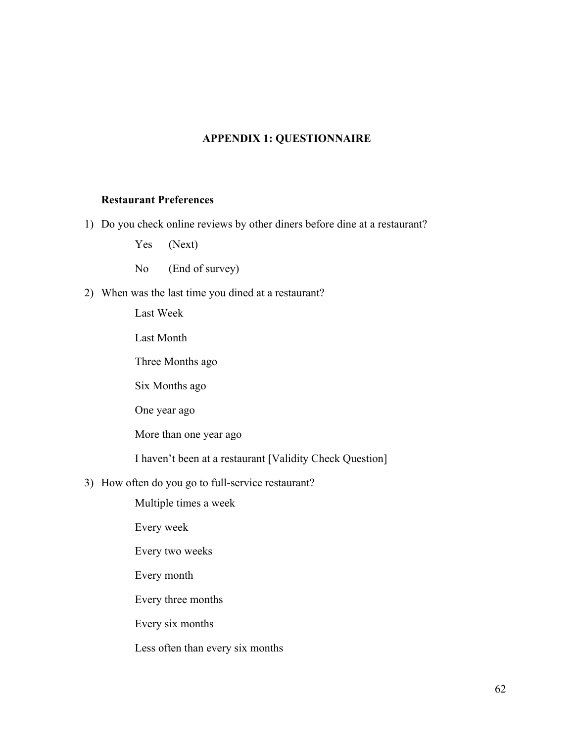# **APPENDIX 1: QUESTIONNAIRE**

## **Restaurant Preferences**

1) Do you check online reviews by other diners before dine at a restaurant?

Yes (Next)

No (End of survey)

2) When was the last time you dined at a restaurant?

Last Week

Last Month

Three Months ago

Six Months ago

One year ago

More than one year ago

I haven't been at a restaurant [Validity Check Question]

3) How often do you go to full-service restaurant?

Multiple times a week

Every week

Every two weeks

Every month

Every three months

Every six months

Less often than every six months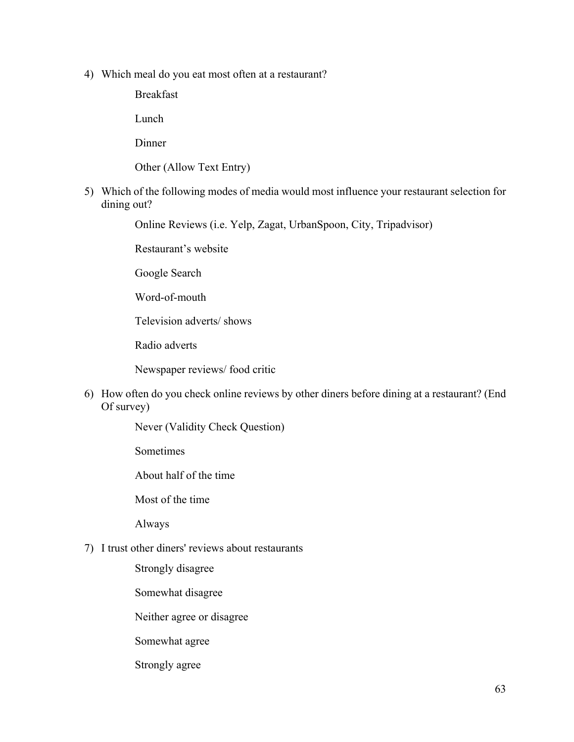4) Which meal do you eat most often at a restaurant?

Breakfast

Lunch

Dinner

Other (Allow Text Entry)

5) Which of the following modes of media would most influence your restaurant selection for dining out?

Online Reviews (i.e. Yelp, Zagat, UrbanSpoon, City, Tripadvisor)

Restaurant's website

Google Search

Word-of-mouth

Television adverts/ shows

Radio adverts

Newspaper reviews/ food critic

6) How often do you check online reviews by other diners before dining at a restaurant? (End Of survey)

Never (Validity Check Question)

**Sometimes** 

About half of the time

Most of the time

Always

7) I trust other diners' reviews about restaurants

Strongly disagree

Somewhat disagree

Neither agree or disagree

Somewhat agree

Strongly agree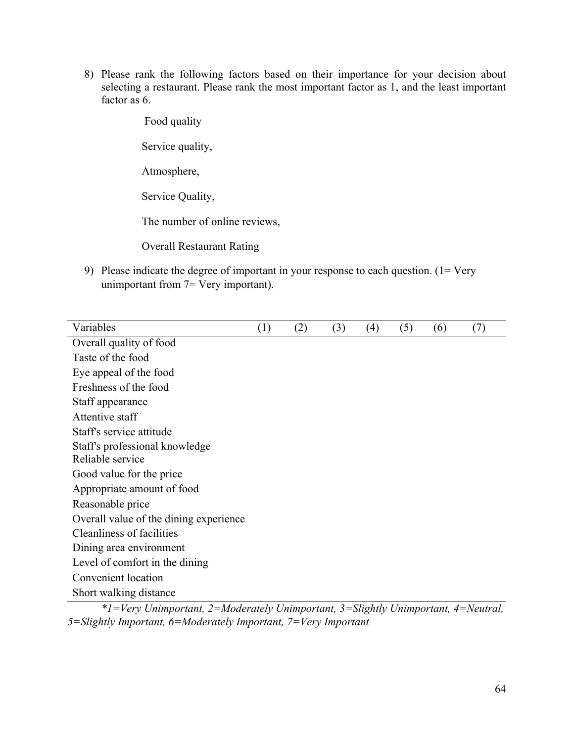8) Please rank the following factors based on their importance for your decision about selecting a restaurant. Please rank the most important factor as 1, and the least important factor as 6.

Food quality

Service quality,

Atmosphere,

Service Quality,

The number of online reviews,

Overall Restaurant Rating

9) Please indicate the degree of important in your response to each question. (1= Very unimportant from 7= Very important).

| Variables                              | (1) | (2) | (3) | (4) | (5) | (6) | (7) |
|----------------------------------------|-----|-----|-----|-----|-----|-----|-----|
| Overall quality of food                |     |     |     |     |     |     |     |
| Taste of the food                      |     |     |     |     |     |     |     |
| Eye appeal of the food                 |     |     |     |     |     |     |     |
| Freshness of the food                  |     |     |     |     |     |     |     |
| Staff appearance                       |     |     |     |     |     |     |     |
| Attentive staff                        |     |     |     |     |     |     |     |
| Staff's service attitude               |     |     |     |     |     |     |     |
| Staff's professional knowledge         |     |     |     |     |     |     |     |
| Reliable service                       |     |     |     |     |     |     |     |
| Good value for the price               |     |     |     |     |     |     |     |
| Appropriate amount of food             |     |     |     |     |     |     |     |
| Reasonable price                       |     |     |     |     |     |     |     |
| Overall value of the dining experience |     |     |     |     |     |     |     |
| Cleanliness of facilities              |     |     |     |     |     |     |     |
| Dining area environment                |     |     |     |     |     |     |     |
| Level of comfort in the dining         |     |     |     |     |     |     |     |
| Convenient location                    |     |     |     |     |     |     |     |
| Short walking distance                 |     |     |     |     |     |     |     |
|                                        |     |     |     |     |     |     |     |

*\*1=Very Unimportant, 2=Moderately Unimportant, 3=Slightly Unimportant, 4=Neutral, 5=Slightly Important, 6=Moderately Important, 7=Very Important*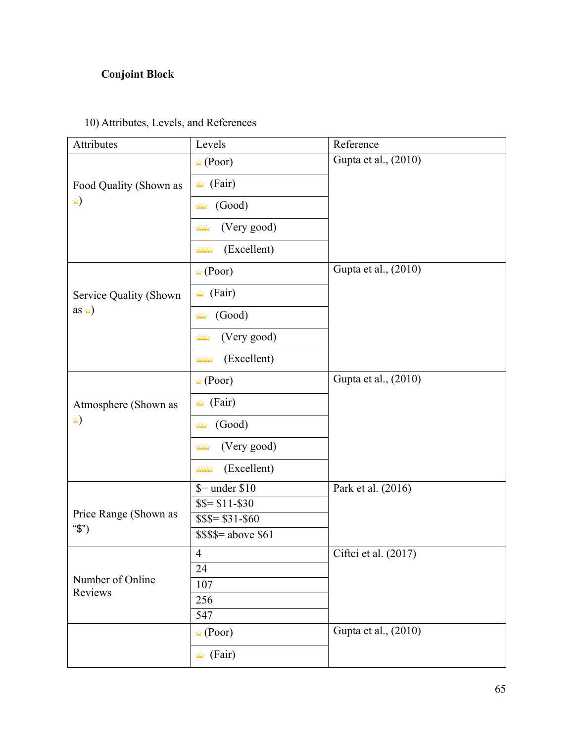## **Conjoint Block**

# 10) Attributes, Levels, and References

| Attributes                  | Levels                       | Reference            |  |  |  |
|-----------------------------|------------------------------|----------------------|--|--|--|
|                             | $\star$ (Poor)               | Gupta et al., (2010) |  |  |  |
| Food Quality (Shown as      | $\star$ (Fair)               |                      |  |  |  |
| *)                          | (Good)<br>$\frac{1}{2}$      |                      |  |  |  |
|                             | (Very good)<br><b>ANY</b>    |                      |  |  |  |
|                             | (Excellent)<br>****          |                      |  |  |  |
|                             | $\star$ (Poor)               | Gupta et al., (2010) |  |  |  |
| Service Quality (Shown      | $\star$ (Fair)               |                      |  |  |  |
| as $\star$ )                | (Good)<br>$\mathbf{X}$       |                      |  |  |  |
|                             | (Very good)<br>$\frac{1}{2}$ |                      |  |  |  |
|                             | (Excellent)<br>1111          |                      |  |  |  |
|                             | $\star$ (Poor)               | Gupta et al., (2010) |  |  |  |
| Atmosphere (Shown as        | $\star$ (Fair)               |                      |  |  |  |
| *)                          | (Good)<br>$\mathbf{X}$       |                      |  |  |  |
|                             | (Very good)<br><b>AAA</b>    |                      |  |  |  |
|                             | (Excellent)<br><b>ANN</b>    |                      |  |  |  |
|                             | $$ =$ under \$10             | Park et al. (2016)   |  |  |  |
| Price Range (Shown as       | $$S = $11 - $30$             |                      |  |  |  |
| " $\mathcal{S}$ ")          | $$$ \$\$= \$31-\$60          |                      |  |  |  |
|                             | $$$ \$\$\$= above \$61       |                      |  |  |  |
|                             | $\overline{4}$               | Ciftci et al. (2017) |  |  |  |
|                             | 24                           |                      |  |  |  |
| Number of Online<br>Reviews | 107                          |                      |  |  |  |
|                             | 256                          |                      |  |  |  |
|                             | 547                          |                      |  |  |  |
|                             | $\star$ (Poor)               | Gupta et al., (2010) |  |  |  |
|                             | $\star$ (Fair)               |                      |  |  |  |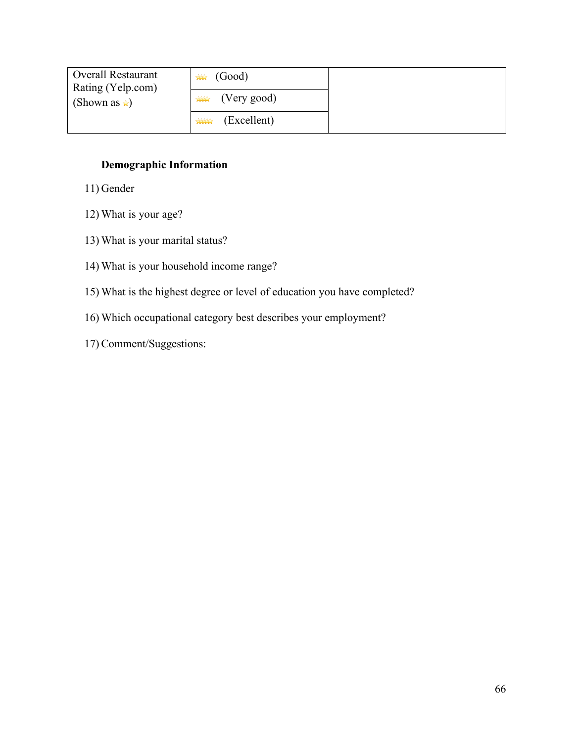| <b>Overall Restaurant</b><br>Rating (Yelp.com) | $\mathbf{M}$ (Good)           |  |
|------------------------------------------------|-------------------------------|--|
| (Shown as $\star$ )                            | $\longrightarrow$ (Very good) |  |
|                                                | (Excellent)<br><b>AAAA</b>    |  |

### **Demographic Information**

- 11) Gender
- 12) What is your age?
- 13) What is your marital status?
- 14) What is your household income range?
- 15) What is the highest degree or level of education you have completed?
- 16) Which occupational category best describes your employment?
- 17) Comment/Suggestions: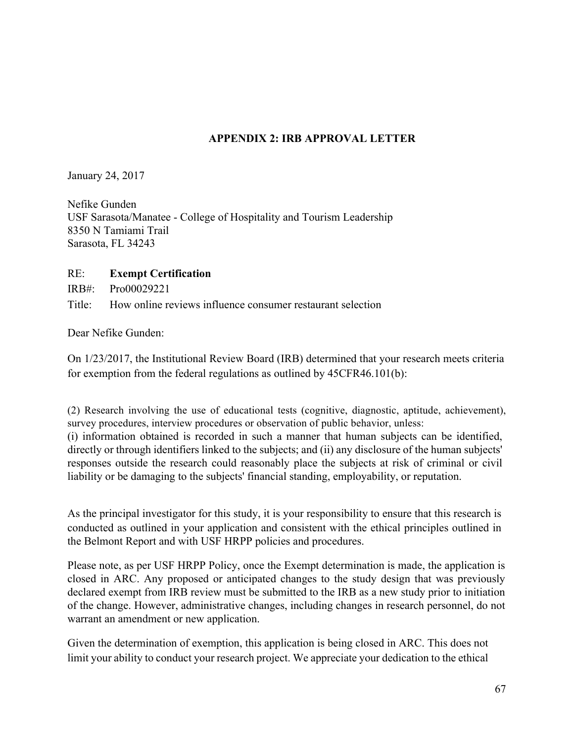#### **APPENDIX 2: IRB APPROVAL LETTER**

January 24, 2017

Nefike Gunden USF Sarasota/Manatee - College of Hospitality and Tourism Leadership 8350 N Tamiami Trail Sarasota, FL 34243

#### RE: **Exempt Certification**

IRB#: Pro00029221

Title: How online reviews influence consumer restaurant selection

Dear Nefike Gunden:

On 1/23/2017, the Institutional Review Board (IRB) determined that your research meets criteria for exemption from the federal regulations as outlined by 45CFR46.101(b):

(2) Research involving the use of educational tests (cognitive, diagnostic, aptitude, achievement), survey procedures, interview procedures or observation of public behavior, unless: (i) information obtained is recorded in such a manner that human subjects can be identified, directly or through identifiers linked to the subjects; and (ii) any disclosure of the human subjects' responses outside the research could reasonably place the subjects at risk of criminal or civil liability or be damaging to the subjects' financial standing, employability, or reputation.

As the principal investigator for this study, it is your responsibility to ensure that this research is conducted as outlined in your application and consistent with the ethical principles outlined in the Belmont Report and with USF HRPP policies and procedures.

Please note, as per USF HRPP Policy, once the Exempt determination is made, the application is closed in ARC. Any proposed or anticipated changes to the study design that was previously declared exempt from IRB review must be submitted to the IRB as a new study prior to initiation of the change. However, administrative changes, including changes in research personnel, do not warrant an amendment or new application.

Given the determination of exemption, this application is being closed in ARC. This does not limit your ability to conduct your research project. We appreciate your dedication to the ethical